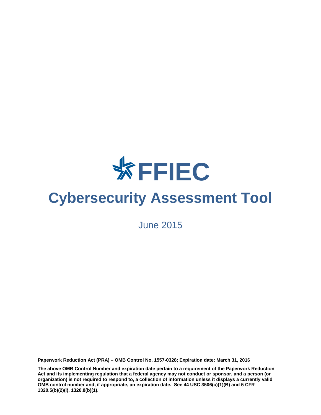

# **Cybersecurity Assessment Tool**

June 2015

**Paperwork Reduction Act (PRA) – OMB Control No. 1557-0328; Expiration date: March 31, 2016** 

**The above OMB Control Number and expiration date pertain to a requirement of the Paperwork Reduction Act and its implementing regulation that a federal agency may not conduct or sponsor, and a person (or organization) is not required to respond to, a collection of information unless it displays a currently valid OMB control number and, if appropriate, an expiration date. See 44 USC 3506(c)(1)(B) and 5 CFR 1320.5(b)(2)(i), 1320.8(b)(1).**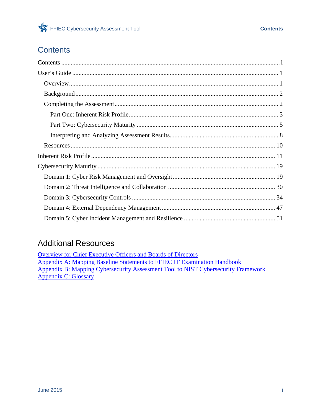## **Contents**

## **Additional Resources**

Overview for Chief Executive Officers and Boards of Directors Appendix A: Mapping Baseline Statements to FFIEC IT Examination Handbook Appendix B: Mapping Cybersecurity Assessment Tool to NIST Cybersecurity Framework Appendix C: Glossary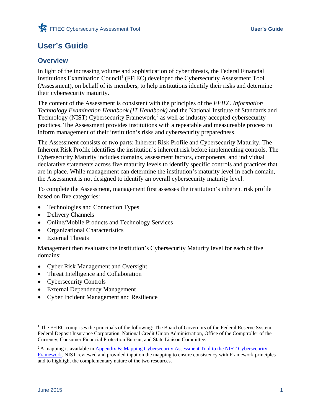## **User's Guide**

## **Overview**

In light of the increasing volume and sophistication of cyber threats, the Federal Financial Institutions Examination Council<sup>1</sup> (FFIEC) developed the Cybersecurity Assessment Tool (Assessment), on behalf of its members, to help institutions identify their risks and determine their cybersecurity maturity.

The content of the Assessment is consistent with the principles of the *FFIEC Information Technology Examination Handbook (IT Handbook)* and the National Institute of Standards and Technology (NIST) Cybersecurity Framework, $2$  as well as industry accepted cybersecurity practices. The Assessment provides institutions with a repeatable and measureable process to inform management of their institution's risks and cybersecurity preparedness.

The Assessment consists of two parts: Inherent Risk Profile and Cybersecurity Maturity. The Inherent Risk Profile identifies the institution's inherent risk before implementing controls. The Cybersecurity Maturity includes domains, assessment factors, components, and individual declarative statements across five maturity levels to identify specific controls and practices that are in place. While management can determine the institution's maturity level in each domain, the Assessment is not designed to identify an overall cybersecurity maturity level.

To complete the Assessment, management first assesses the institution's inherent risk profile based on five categories:

- Technologies and Connection Types
- Delivery Channels
- Online/Mobile Products and Technology Services
- Organizational Characteristics
- External Threats

Management then evaluates the institution's Cybersecurity Maturity level for each of five domains:

- Cyber Risk Management and Oversight
- Threat Intelligence and Collaboration
- Cybersecurity Controls
- External Dependency Management
- Cyber Incident Management and Resilience

 $\overline{\phantom{a}}$ 

<sup>&</sup>lt;sup>1</sup> The FFIEC comprises the principals of the following: The Board of Governors of the Federal Reserve System, Federal Deposit Insurance Corporation, National Credit Union Administration, Office of the Comptroller of the Currency, Consumer Financial Protection Bureau, and State Liaison Committee.

<sup>&</sup>lt;sup>2</sup> A mapping is available in **Appendix B: Mapping Cybersecurity Assessment Tool to the NIST Cybersecurity** Framework. NIST reviewed and provided input on the mapping to ensure consistency with Framework principles and to highlight the complementary nature of the two resources.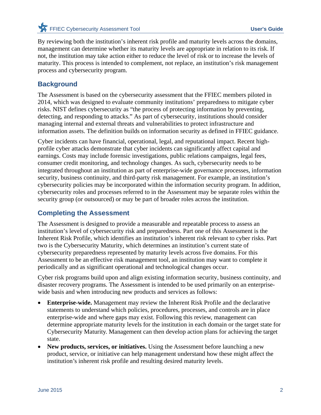By reviewing both the institution's inherent risk profile and maturity levels across the domains, management can determine whether its maturity levels are appropriate in relation to its risk. If not, the institution may take action either to reduce the level of risk or to increase the levels of maturity. This process is intended to complement, not replace, an institution's risk management process and cybersecurity program.

## **Background**

The Assessment is based on the cybersecurity assessment that the FFIEC members piloted in 2014, which was designed to evaluate community institutions' preparedness to mitigate cyber risks. NIST defines cybersecurity as "the process of protecting information by preventing, detecting, and responding to attacks." As part of cybersecurity, institutions should consider managing internal and external threats and vulnerabilities to protect infrastructure and information assets. The definition builds on information security as defined in FFIEC guidance.

Cyber incidents can have financial, operational, legal, and reputational impact. Recent highprofile cyber attacks demonstrate that cyber incidents can significantly affect capital and earnings. Costs may include forensic investigations, public relations campaigns, legal fees, consumer credit monitoring, and technology changes. As such, cybersecurity needs to be integrated throughout an institution as part of enterprise-wide governance processes, information security, business continuity, and third-party risk management. For example, an institution's cybersecurity policies may be incorporated within the information security program. In addition, cybersecurity roles and processes referred to in the Assessment may be separate roles within the security group (or outsourced) or may be part of broader roles across the institution.

## **Completing the Assessment**

The Assessment is designed to provide a measurable and repeatable process to assess an institution's level of cybersecurity risk and preparedness. Part one of this Assessment is the Inherent Risk Profile, which identifies an institution's inherent risk relevant to cyber risks. Part two is the Cybersecurity Maturity, which determines an institution's current state of cybersecurity preparedness represented by maturity levels across five domains. For this Assessment to be an effective risk management tool, an institution may want to complete it periodically and as significant operational and technological changes occur.

Cyber risk programs build upon and align existing information security, business continuity, and disaster recovery programs. The Assessment is intended to be used primarily on an enterprisewide basis and when introducing new products and services as follows:

- **Enterprise-wide.** Management may review the Inherent Risk Profile and the declarative statements to understand which policies, procedures, processes, and controls are in place enterprise-wide and where gaps may exist. Following this review, management can determine appropriate maturity levels for the institution in each domain or the target state for Cybersecurity Maturity. Management can then develop action plans for achieving the target state.
- **New products, services, or initiatives.** Using the Assessment before launching a new product, service, or initiative can help management understand how these might affect the institution's inherent risk profile and resulting desired maturity levels.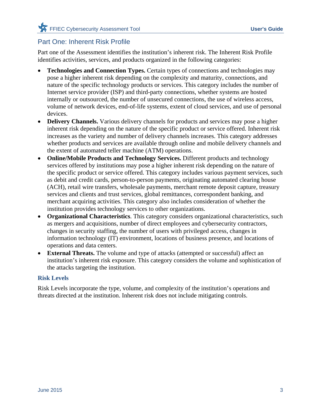## Part One: Inherent Risk Profile

Part one of the Assessment identifies the institution's inherent risk. The Inherent Risk Profile identifies activities, services, and products organized in the following categories:

- **Technologies and Connection Types.** Certain types of connections and technologies may pose a higher inherent risk depending on the complexity and maturity, connections, and nature of the specific technology products or services. This category includes the number of Internet service provider (ISP) and third-party connections, whether systems are hosted internally or outsourced, the number of unsecured connections, the use of wireless access, volume of network devices, end-of-life systems, extent of cloud services, and use of personal devices.
- **Delivery Channels.** Various delivery channels for products and services may pose a higher inherent risk depending on the nature of the specific product or service offered. Inherent risk increases as the variety and number of delivery channels increases. This category addresses whether products and services are available through online and mobile delivery channels and the extent of automated teller machine (ATM) operations.
- **Online/Mobile Products and Technology Services.** Different products and technology services offered by institutions may pose a higher inherent risk depending on the nature of the specific product or service offered. This category includes various payment services, such as debit and credit cards, person-to-person payments, originating automated clearing house (ACH), retail wire transfers, wholesale payments, merchant remote deposit capture, treasury services and clients and trust services, global remittances, correspondent banking, and merchant acquiring activities. This category also includes consideration of whether the institution provides technology services to other organizations.
- **Organizational Characteristics**. This category considers organizational characteristics, such as mergers and acquisitions, number of direct employees and cybersecurity contractors, changes in security staffing, the number of users with privileged access, changes in information technology (IT) environment, locations of business presence, and locations of operations and data centers.
- **External Threats.** The volume and type of attacks (attempted or successful) affect an institution's inherent risk exposure. This category considers the volume and sophistication of the attacks targeting the institution.

### **Risk Levels**

Risk Levels incorporate the type, volume, and complexity of the institution's operations and threats directed at the institution. Inherent risk does not include mitigating controls.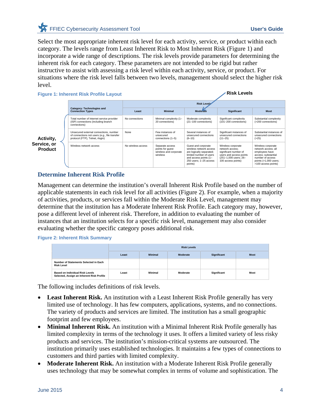Select the most appropriate inherent risk level for each activity, service, or product within each category. The levels range from Least Inherent Risk to Most Inherent Risk (Figure 1) and incorporate a wide range of descriptions. The risk levels provide parameters for determining the inherent risk for each category. These parameters are not intended to be rigid but rather instructive to assist with assessing a risk level within each activity, service, or product. For situations where the risk level falls between two levels, management should select the higher risk level.

**Figure 1: Inherent Risk Profile Layout** 

**Risk Levels**

|                                            |                                                                                                                            | <b>Risk Levels</b> |                                                                           |                                                                                                                                                                     |                                                                                                                                          |                                                                                                                                                          |  |  |
|--------------------------------------------|----------------------------------------------------------------------------------------------------------------------------|--------------------|---------------------------------------------------------------------------|---------------------------------------------------------------------------------------------------------------------------------------------------------------------|------------------------------------------------------------------------------------------------------------------------------------------|----------------------------------------------------------------------------------------------------------------------------------------------------------|--|--|
|                                            | <b>Category: Technologies and</b><br><b>Connection Types</b>                                                               | Least              | <b>Minimal</b>                                                            | <b>Moderate</b>                                                                                                                                                     | <b>Significant</b>                                                                                                                       | <b>Most</b>                                                                                                                                              |  |  |
|                                            | Total number of Internet service provider<br>(ISP) connections (including branch<br>connections)                           | No connections     | Minimal complexity (1-<br>20 connections)                                 | Moderate complexity<br>(21-100 connections)                                                                                                                         | Significant complexity<br>(101-200 connections)                                                                                          | Substantial complexity<br>(>200 connections)                                                                                                             |  |  |
|                                            | Unsecured external connections, number<br>of connections not users (e.g., file transfer<br>protocol (FTP), Telnet, rlogin) | None               | Few instances of<br>unsecured<br>connections (1-5)                        | Several instances of<br>unsecured connections<br>$(6 - 10)$                                                                                                         | Significant instances of<br>unsecured connections<br>$(11 - 25)$                                                                         | Substantial instances of<br>unsecured connections<br>( >25)                                                                                              |  |  |
| Activity,<br>Service, or<br><b>Product</b> | Wireless network access                                                                                                    | No wireless access | Separate access<br>points for quest<br>wireless and corporate<br>wireless | Guest and corporate<br>wireless network access<br>are logically separated;<br>limited number of users<br>and access points (1-<br>250 users: 1-25 access<br>points) | Wireless corporate<br>network access:<br>significant number of<br>users and access points<br>(251-1,000 users; 26-<br>100 access points) | Wireless corporate<br>network access: all<br>employees have<br>access: substantial<br>number of access<br>points $(>1,000$ users;<br>>100 access points) |  |  |

### **Determine Inherent Risk Profile**

Management can determine the institution's overall Inherent Risk Profile based on the number of applicable statements in each risk level for all activities (Figure 2). For example, when a majority of activities, products, or services fall within the Moderate Risk Level, management may determine that the institution has a Moderate Inherent Risk Profile. Each category may, however, pose a different level of inherent risk. Therefore, in addition to evaluating the number of instances that an institution selects for a specific risk level, management may also consider evaluating whether the specific category poses additional risk.

**Figure 2: Inherent Risk Summary** 

|                                                                              |       | <b>Risk Levels</b> |          |                    |             |  |  |
|------------------------------------------------------------------------------|-------|--------------------|----------|--------------------|-------------|--|--|
|                                                                              | Least | <b>Minimal</b>     | Moderate | <b>Significant</b> | <b>Most</b> |  |  |
| Number of Statements Selected in Each<br><b>Risk Level</b>                   |       |                    |          |                    |             |  |  |
| Based on Individual Risk Levels<br>Selected, Assign an Inherent Risk Profile | Least | Minimal            | Moderate | <b>Significant</b> | <b>Most</b> |  |  |

The following includes definitions of risk levels.

- Least Inherent Risk. An institution with a Least Inherent Risk Profile generally has very limited use of technology. It has few computers, applications, systems, and no connections. The variety of products and services are limited. The institution has a small geographic footprint and few employees.
- **Minimal Inherent Risk.** An institution with a Minimal Inherent Risk Profile generally has limited complexity in terms of the technology it uses. It offers a limited variety of less risky products and services. The institution's mission-critical systems are outsourced. The institution primarily uses established technologies. It maintains a few types of connections to customers and third parties with limited complexity.
- Moderate Inherent Risk. An institution with a Moderate Inherent Risk Profile generally uses technology that may be somewhat complex in terms of volume and sophistication. The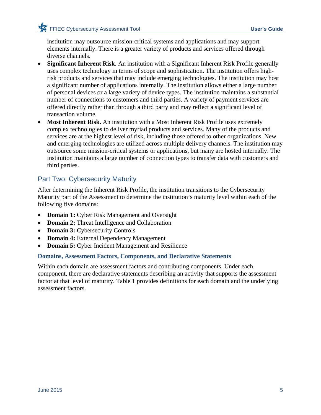institution may outsource mission-critical systems and applications and may support elements internally. There is a greater variety of products and services offered through diverse channels.

- **Significant Inherent Risk**. An institution with a Significant Inherent Risk Profile generally uses complex technology in terms of scope and sophistication. The institution offers highrisk products and services that may include emerging technologies. The institution may host a significant number of applications internally. The institution allows either a large number of personal devices or a large variety of device types. The institution maintains a substantial number of connections to customers and third parties. A variety of payment services are offered directly rather than through a third party and may reflect a significant level of transaction volume.
- **Most Inherent Risk.** An institution with a Most Inherent Risk Profile uses extremely complex technologies to deliver myriad products and services. Many of the products and services are at the highest level of risk, including those offered to other organizations. New and emerging technologies are utilized across multiple delivery channels. The institution may outsource some mission-critical systems or applications, but many are hosted internally. The institution maintains a large number of connection types to transfer data with customers and third parties.

## Part Two: Cybersecurity Maturity

After determining the Inherent Risk Profile, the institution transitions to the Cybersecurity Maturity part of the Assessment to determine the institution's maturity level within each of the following five domains:

- **Domain 1:** Cyber Risk Management and Oversight
- **Domain 2:** Threat Intelligence and Collaboration
- **Domain 3:** Cybersecurity Controls
- **Domain 4:** External Dependency Management
- **Domain 5:** Cyber Incident Management and Resilience

### **Domains, Assessment Factors, Components, and Declarative Statements**

Within each domain are assessment factors and contributing components. Under each component, there are declarative statements describing an activity that supports the assessment factor at that level of maturity. Table 1 provides definitions for each domain and the underlying assessment factors.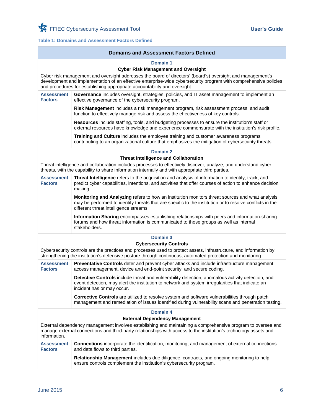### **Table 1: Domains and Assessment Factors Defined**

|                                     | <b>Domains and Assessment Factors Defined</b>                                                                                                                                                                                                                                                                                                                         |  |  |  |  |  |  |
|-------------------------------------|-----------------------------------------------------------------------------------------------------------------------------------------------------------------------------------------------------------------------------------------------------------------------------------------------------------------------------------------------------------------------|--|--|--|--|--|--|
|                                     | Domain 1<br><b>Cyber Risk Management and Oversight</b><br>Cyber risk management and oversight addresses the board of directors' (board's) oversight and management's<br>development and implementation of an effective enterprise-wide cybersecurity program with comprehensive policies<br>and procedures for establishing appropriate accountability and oversight. |  |  |  |  |  |  |
| <b>Assessment</b><br><b>Factors</b> | Governance includes oversight, strategies, policies, and IT asset management to implement an<br>effective governance of the cybersecurity program.                                                                                                                                                                                                                    |  |  |  |  |  |  |
|                                     | Risk Management includes a risk management program, risk assessment process, and audit<br>function to effectively manage risk and assess the effectiveness of key controls.                                                                                                                                                                                           |  |  |  |  |  |  |
|                                     | Resources include staffing, tools, and budgeting processes to ensure the institution's staff or<br>external resources have knowledge and experience commensurate with the institution's risk profile.                                                                                                                                                                 |  |  |  |  |  |  |
|                                     | Training and Culture includes the employee training and customer awareness programs<br>contributing to an organizational culture that emphasizes the mitigation of cybersecurity threats.                                                                                                                                                                             |  |  |  |  |  |  |
|                                     | Domain 2                                                                                                                                                                                                                                                                                                                                                              |  |  |  |  |  |  |
|                                     | <b>Threat Intelligence and Collaboration</b>                                                                                                                                                                                                                                                                                                                          |  |  |  |  |  |  |
|                                     | Threat intelligence and collaboration includes processes to effectively discover, analyze, and understand cyber<br>threats, with the capability to share information internally and with appropriate third parties.                                                                                                                                                   |  |  |  |  |  |  |
| <b>Assessment</b><br><b>Factors</b> | Threat Intelligence refers to the acquisition and analysis of information to identify, track, and<br>predict cyber capabilities, intentions, and activities that offer courses of action to enhance decision<br>making.                                                                                                                                               |  |  |  |  |  |  |
|                                     | Monitoring and Analyzing refers to how an institution monitors threat sources and what analysis<br>may be performed to identify threats that are specific to the institution or to resolve conflicts in the<br>different threat intelligence streams.                                                                                                                 |  |  |  |  |  |  |
|                                     | Information Sharing encompasses establishing relationships with peers and information-sharing<br>forums and how threat information is communicated to those groups as well as internal<br>stakeholders.                                                                                                                                                               |  |  |  |  |  |  |
|                                     | Domain 3                                                                                                                                                                                                                                                                                                                                                              |  |  |  |  |  |  |
|                                     | <b>Cybersecurity Controls</b>                                                                                                                                                                                                                                                                                                                                         |  |  |  |  |  |  |
|                                     | Cybersecurity controls are the practices and processes used to protect assets, infrastructure, and information by<br>strengthening the institution's defensive posture through continuous, automated protection and monitoring.                                                                                                                                       |  |  |  |  |  |  |
| <b>Assessment</b><br><b>Factors</b> | Preventative Controls deter and prevent cyber attacks and include infrastructure management,<br>access management, device and end-point security, and secure coding.                                                                                                                                                                                                  |  |  |  |  |  |  |
|                                     | Detective Controls include threat and vulnerability detection, anomalous activity detection, and<br>event detection, may alert the institution to network and system irregularities that indicate an<br>incident has or may occur.                                                                                                                                    |  |  |  |  |  |  |
|                                     | Corrective Controls are utilized to resolve system and software vulnerabilities through patch<br>management and remediation of issues identified during vulnerability scans and penetration testing.                                                                                                                                                                  |  |  |  |  |  |  |
|                                     | <b>Domain 4</b>                                                                                                                                                                                                                                                                                                                                                       |  |  |  |  |  |  |
|                                     | <b>External Dependency Management</b>                                                                                                                                                                                                                                                                                                                                 |  |  |  |  |  |  |
| information.                        | External dependency management involves establishing and maintaining a comprehensive program to oversee and<br>manage external connections and third-party relationships with access to the institution's technology assets and                                                                                                                                       |  |  |  |  |  |  |
| <b>Assessment</b><br><b>Factors</b> | Connections incorporate the identification, monitoring, and management of external connections<br>and data flows to third parties.                                                                                                                                                                                                                                    |  |  |  |  |  |  |
|                                     | Relationship Management includes due diligence, contracts, and ongoing monitoring to help<br>ensure controls complement the institution's cybersecurity program.                                                                                                                                                                                                      |  |  |  |  |  |  |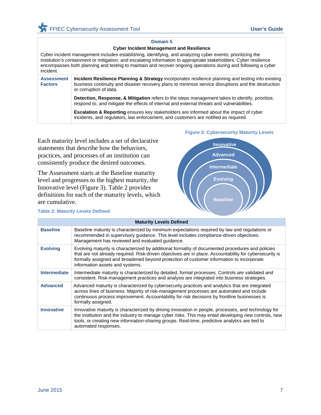#### **Domain 5**

#### **Cyber Incident Management and Resilience**

Cyber incident management includes establishing, identifying, and analyzing cyber events; prioritizing the institution's containment or mitigation; and escalating information to appropriate stakeholders. Cyber resilience encompasses both planning and testing to maintain and recover ongoing operations during and following a cyber incident.

| <b>Assessment</b><br><b>Factors</b> | <b>Incident Resilience Planning &amp; Strategy</b> incorporates resilience planning and testing into existing<br>business continuity and disaster recovery plans to minimize service disruptions and the destruction<br>or corruption of data. |
|-------------------------------------|------------------------------------------------------------------------------------------------------------------------------------------------------------------------------------------------------------------------------------------------|
|                                     | Detection, Response, & Mitigation refers to the steps management takes to identify, prioritize,<br>respond to, and mitigate the effects of internal and external threats and vulnerabilities.                                                  |
|                                     | <b>Escalation &amp; Reporting</b> ensures key stakeholders are informed about the impact of cyber<br>incidents, and regulators, law enforcement, and customers are notified as required.                                                       |

Each maturity level includes a set of declarative statements that describe how the behaviors, practices, and processes of an institution can consistently produce the desired outcomes.

The Assessment starts at the Baseline maturity level and progresses to the highest maturity, the Innovative level (Figure 3). Table 2 provides definitions for each of the maturity levels, which are cumulative.

#### **Table 2: Maturity Levels Defined**

#### **Figure 3: Cybersecurity Maturity Levels**



|                     | <b>Maturity Levels Defined</b>                                                                                                                                                                                                                                                                                                             |
|---------------------|--------------------------------------------------------------------------------------------------------------------------------------------------------------------------------------------------------------------------------------------------------------------------------------------------------------------------------------------|
| <b>Baseline</b>     | Baseline maturity is characterized by minimum expectations required by law and regulations or<br>recommended in supervisory guidance. This level includes compliance-driven objectives.<br>Management has reviewed and evaluated guidance.                                                                                                 |
| <b>Evolving</b>     | Evolving maturity is characterized by additional formality of documented procedures and policies<br>that are not already required. Risk-driven objectives are in place. Accountability for cybersecurity is<br>formally assigned and broadened beyond protection of customer information to incorporate<br>information assets and systems. |
| <b>Intermediate</b> | Intermediate maturity is characterized by detailed, formal processes. Controls are validated and<br>consistent. Risk-management practices and analysis are integrated into business strategies.                                                                                                                                            |
| <b>Advanced</b>     | Advanced maturity is characterized by cybersecurity practices and analytics that are integrated<br>across lines of business. Majority of risk-management processes are automated and include<br>continuous process improvement. Accountability for risk decisions by frontline businesses is<br>formally assigned.                         |
| <b>Innovative</b>   | Innovative maturity is characterized by driving innovation in people, processes, and technology for<br>the institution and the industry to manage cyber risks. This may entail developing new controls, new<br>tools, or creating new information-sharing groups. Real-time, predictive analytics are tied to<br>automated responses.      |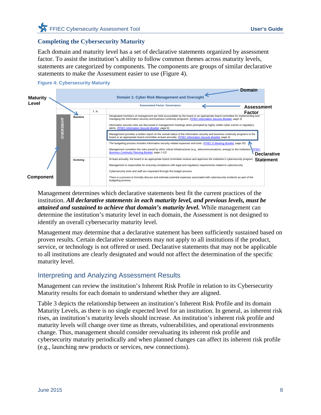### **Completing the Cybersecurity Maturity**

Each domain and maturity level has a set of declarative statements organized by assessment factor. To assist the institution's ability to follow common themes across maturity levels, statements are categorized by components. The components are groups of similar declarative statements to make the Assessment easier to use (Figure 4).



Management determines which declarative statements best fit the current practices of the institution. *All declarative statements in each maturity level, and previous levels, must be attained and sustained to achieve that domain's maturity level.* While management can determine the institution's maturity level in each domain, the Assessment is not designed to identify an overall cybersecurity maturity level.

Management may determine that a declarative statement has been sufficiently sustained based on proven results. Certain declarative statements may not apply to all institutions if the product, service, or technology is not offered or used. Declarative statements that may not be applicable to all institutions are clearly designated and would not affect the determination of the specific maturity level.

### Interpreting and Analyzing Assessment Results

Management can review the institution's Inherent Risk Profile in relation to its Cybersecurity Maturity results for each domain to understand whether they are aligned.

Table 3 depicts the relationship between an institution's Inherent Risk Profile and its domain Maturity Levels, as there is no single expected level for an institution. In general, as inherent risk rises, an institution's maturity levels should increase. An institution's inherent risk profile and maturity levels will change over time as threats, vulnerabilities, and operational environments change. Thus, management should consider reevaluating its inherent risk profile and cybersecurity maturity periodically and when planned changes can affect its inherent risk profile (e.g., launching new products or services, new connections).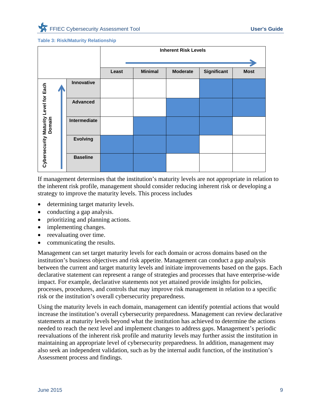#### **Table 3: Risk/Maturity Relationship**

|                                       |  |                 | <b>Inherent Risk Levels</b> |                |                 |             |             |  |                 |  |  |  |  |  |
|---------------------------------------|--|-----------------|-----------------------------|----------------|-----------------|-------------|-------------|--|-----------------|--|--|--|--|--|
|                                       |  |                 |                             |                |                 |             |             |  |                 |  |  |  |  |  |
|                                       |  |                 | Least                       | <b>Minimal</b> | <b>Moderate</b> | Significant | <b>Most</b> |  |                 |  |  |  |  |  |
|                                       |  | Innovative      |                             |                |                 |             |             |  |                 |  |  |  |  |  |
| Cybersecurity Maturity Level for Each |  |                 |                             |                |                 |             |             |  | <b>Advanced</b> |  |  |  |  |  |
|                                       |  |                 |                             |                | Intermediate    |             |             |  |                 |  |  |  |  |  |
|                                       |  | <b>Evolving</b> |                             |                |                 |             |             |  |                 |  |  |  |  |  |
|                                       |  | <b>Baseline</b> |                             |                |                 |             |             |  |                 |  |  |  |  |  |

If management determines that the institution's maturity levels are not appropriate in relation to the inherent risk profile, management should consider reducing inherent risk or developing a strategy to improve the maturity levels. This process includes

- determining target maturity levels.
- conducting a gap analysis.
- prioritizing and planning actions.
- implementing changes.
- reevaluating over time.
- communicating the results.

Management can set target maturity levels for each domain or across domains based on the institution's business objectives and risk appetite. Management can conduct a gap analysis between the current and target maturity levels and initiate improvements based on the gaps. Each declarative statement can represent a range of strategies and processes that have enterprise-wide impact. For example, declarative statements not yet attained provide insights for policies, processes, procedures, and controls that may improve risk management in relation to a specific risk or the institution's overall cybersecurity preparedness.

Using the maturity levels in each domain, management can identify potential actions that would increase the institution's overall cybersecurity preparedness. Management can review declarative statements at maturity levels beyond what the institution has achieved to determine the actions needed to reach the next level and implement changes to address gaps. Management's periodic reevaluations of the inherent risk profile and maturity levels may further assist the institution in maintaining an appropriate level of cybersecurity preparedness. In addition, management may also seek an independent validation, such as by the internal audit function, of the institution's Assessment process and findings.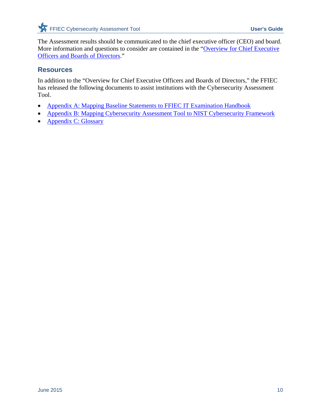The Assessment results should be communicated to the chief executive officer (CEO) and board. More information and questions to consider are contained in the "Overview for Chief Executive Officers and Boards of Directors."

### **Resources**

In addition to the "Overview for Chief Executive Officers and Boards of Directors," the FFIEC has released the following documents to assist institutions with the Cybersecurity Assessment Tool.

- Appendix A: Mapping Baseline Statements to FFIEC IT Examination Handbook
- Appendix B: Mapping Cybersecurity Assessment Tool to NIST Cybersecurity Framework
- Appendix C: Glossary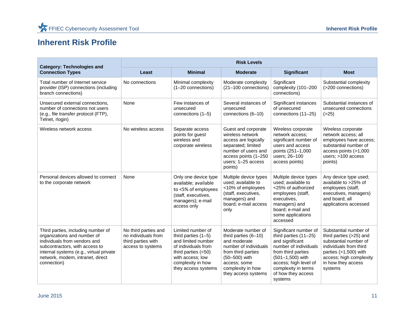## **Inherent Risk Profile**

| <b>Category: Technologies and</b>                                                                                                                                                                                                 | <b>Risk Levels</b>                                                                     |                                                                                                                                                                                  |                                                                                                                                                                                          |                                                                                                                                                                                                                         |                                                                                                                                                                                            |  |  |
|-----------------------------------------------------------------------------------------------------------------------------------------------------------------------------------------------------------------------------------|----------------------------------------------------------------------------------------|----------------------------------------------------------------------------------------------------------------------------------------------------------------------------------|------------------------------------------------------------------------------------------------------------------------------------------------------------------------------------------|-------------------------------------------------------------------------------------------------------------------------------------------------------------------------------------------------------------------------|--------------------------------------------------------------------------------------------------------------------------------------------------------------------------------------------|--|--|
| <b>Connection Types</b>                                                                                                                                                                                                           | Least                                                                                  | <b>Minimal</b>                                                                                                                                                                   | <b>Moderate</b>                                                                                                                                                                          | Significant                                                                                                                                                                                                             | <b>Most</b>                                                                                                                                                                                |  |  |
| Total number of Internet service<br>provider (ISP) connections (including<br>branch connections)                                                                                                                                  | No connections                                                                         | Minimal complexity<br>$(1-20$ connections)                                                                                                                                       | Moderate complexity<br>(21-100 connections)                                                                                                                                              | Significant<br>complexity (101-200<br>connections)                                                                                                                                                                      | Substantial complexity<br>(>200 connections)                                                                                                                                               |  |  |
| Unsecured external connections,<br>number of connections not users<br>(e.g., file transfer protocol (FTP),<br>Telnet, rlogin)                                                                                                     | None                                                                                   | Few instances of<br>unsecured<br>connections (1-5)                                                                                                                               | Several instances of<br>unsecured<br>connections (6-10)                                                                                                                                  | Significant instances<br>of unsecured<br>connections (11-25)                                                                                                                                                            | Substantial instances of<br>unsecured connections<br>( >25)                                                                                                                                |  |  |
| Wireless network access                                                                                                                                                                                                           | No wireless access                                                                     | Separate access<br>points for guest<br>wireless and<br>corporate wireless                                                                                                        | Guest and corporate<br>wireless network<br>access are logically<br>separated; limited<br>number of users and<br>access points (1-250)<br>users; 1-25 access<br>points)                   | Wireless corporate<br>network access;<br>significant number of<br>users and access<br>points (251-1,000<br>users; 26-100<br>access points)                                                                              | Wireless corporate<br>network access; all<br>employees have access;<br>substantial number of<br>access points (>1,000<br>users; >100 access<br>points)                                     |  |  |
| Personal devices allowed to connect<br>to the corporate network                                                                                                                                                                   | None                                                                                   | Only one device type<br>available; available<br>to <5% of employees<br>(staff, executives,<br>managers); e-mail<br>access only                                                   | Multiple device types<br>used: available to<br><10% of employees<br>(staff, executives,<br>managers) and<br>board; e-mail access<br>only                                                 | Multiple device types<br>used; available to<br><25% of authorized<br>employees (staff,<br>executives,<br>managers) and<br>board; e-mail and<br>some applications<br>accessed                                            | Any device type used;<br>available to >25% of<br>employees (staff,<br>executives, managers)<br>and board; all<br>applications accessed                                                     |  |  |
| Third parties, including number of<br>organizations and number of<br>individuals from vendors and<br>subcontractors, with access to<br>internal systems (e.g., virtual private<br>network, modem, intranet, direct<br>connection) | No third parties and<br>no individuals from<br>third parties with<br>access to systems | Limited number of<br>third parties $(1-5)$<br>and limited number<br>of individuals from<br>third parties $(<50)$<br>with access; low<br>complexity in how<br>they access systems | Moderate number of<br>third parties $(6-10)$<br>and moderate<br>number of individuals<br>from third parties<br>(50-500) with<br>access; some<br>complexity in how<br>they access systems | Significant number of<br>third parties $(11–25)$<br>and significant<br>number of individuals<br>from third parties<br>(501-1,500) with<br>access; high level of<br>complexity in terms<br>of how they access<br>systems | Substantial number of<br>third parties (>25) and<br>substantial number of<br>individuals from third<br>parties $(>1,500)$ with<br>access; high complexity<br>in how they access<br>systems |  |  |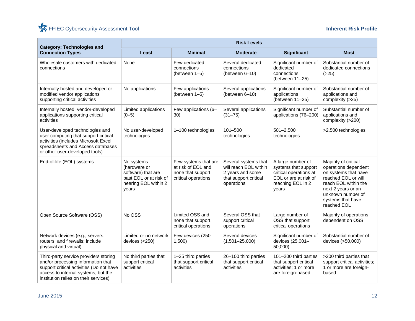| <b>Category: Technologies and</b>                                                                                                                                                                       | <b>Risk Levels</b>                                                                                          |                                                                                        |                                                                                                          |                                                                                                                            |                                                                                                                                                                                                    |  |  |  |
|---------------------------------------------------------------------------------------------------------------------------------------------------------------------------------------------------------|-------------------------------------------------------------------------------------------------------------|----------------------------------------------------------------------------------------|----------------------------------------------------------------------------------------------------------|----------------------------------------------------------------------------------------------------------------------------|----------------------------------------------------------------------------------------------------------------------------------------------------------------------------------------------------|--|--|--|
| <b>Connection Types</b>                                                                                                                                                                                 | Least                                                                                                       | <b>Minimal</b>                                                                         | <b>Moderate</b>                                                                                          | <b>Significant</b>                                                                                                         | <b>Most</b>                                                                                                                                                                                        |  |  |  |
| Wholesale customers with dedicated<br>connections                                                                                                                                                       | None                                                                                                        | Few dedicated<br>connections<br>(between 1-5)                                          | Several dedicated<br>connections<br>(between 6-10)                                                       | Significant number of<br>dedicated<br>connections<br>(between 11-25)                                                       | Substantial number of<br>dedicated connections<br>( >25)                                                                                                                                           |  |  |  |
| Internally hosted and developed or<br>modified vendor applications<br>supporting critical activities                                                                                                    | No applications                                                                                             | Few applications<br>(between 1-5)                                                      | Several applications<br>(between 6-10)                                                                   | Significant number of<br>applications<br>(between 11-25)                                                                   | Substantial number of<br>applications and<br>complexity (>25)                                                                                                                                      |  |  |  |
| Internally hosted, vendor-developed<br>applications supporting critical<br>activities                                                                                                                   | Limited applications<br>$(0 - 5)$                                                                           | Few applications (6-<br>30)                                                            | Several applications<br>$(31 - 75)$                                                                      | Significant number of<br>applications (76-200)                                                                             | Substantial number of<br>applications and<br>complexity (>200)                                                                                                                                     |  |  |  |
| User-developed technologies and<br>user computing that support critical<br>activities (includes Microsoft Excel<br>spreadsheets and Access databases<br>or other user-developed tools)                  | No user-developed<br>technologies                                                                           | 1-100 technologies                                                                     | 101-500<br>technologies                                                                                  | $501 - 2,500$<br>technologies                                                                                              | >2,500 technologies                                                                                                                                                                                |  |  |  |
| End-of-life (EOL) systems                                                                                                                                                                               | No systems<br>(hardware or<br>software) that are<br>past EOL or at risk of<br>nearing EOL within 2<br>vears | Few systems that are<br>at risk of EOL and<br>none that support<br>critical operations | Several systems that<br>will reach EOL within<br>2 years and some<br>that support critical<br>operations | A large number of<br>systems that support<br>critical operations at<br>EOL or are at risk of<br>reaching EOL in 2<br>vears | Majority of critical<br>operations dependent<br>on systems that have<br>reached EOL or will<br>reach EOL within the<br>next 2 years or an<br>unknown number of<br>systems that have<br>reached EOL |  |  |  |
| Open Source Software (OSS)                                                                                                                                                                              | No OSS                                                                                                      | Limited OSS and<br>none that support<br>critical operations                            | Several OSS that<br>support critical<br>operations                                                       | Large number of<br>OSS that support<br>critical operations                                                                 | Majority of operations<br>dependent on OSS                                                                                                                                                         |  |  |  |
| Network devices (e.g., servers,<br>routers, and firewalls; include<br>physical and virtual)                                                                                                             | Limited or no network<br>devices $(<250)$                                                                   | Few devices (250-<br>1,500                                                             | Several devices<br>$(1,501 - 25,000)$                                                                    | Significant number of<br>devices (25,001-<br>50,000)                                                                       | Substantial number of<br>devices (>50,000)                                                                                                                                                         |  |  |  |
| Third-party service providers storing<br>and/or processing information that<br>support critical activities (Do not have<br>access to internal systems, but the<br>institution relies on their services) | No third parties that<br>support critical<br>activities                                                     | 1-25 third parties<br>that support critical<br>activities                              | 26-100 third parties<br>that support critical<br>activities                                              | 101-200 third parties<br>that support critical<br>activities; 1 or more<br>are foreign-based                               | >200 third parties that<br>support critical activities;<br>1 or more are foreign-<br>based                                                                                                         |  |  |  |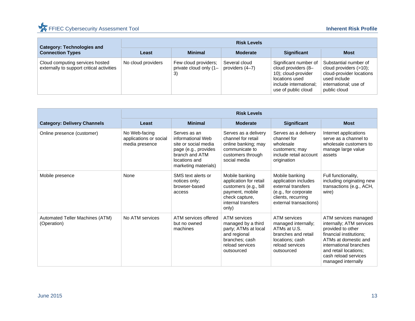| <b>Category: Technologies and</b>                                            | <b>Risk Levels</b> |                                                      |                                  |                                                                                                                                        |                                                                                                                                         |  |  |
|------------------------------------------------------------------------------|--------------------|------------------------------------------------------|----------------------------------|----------------------------------------------------------------------------------------------------------------------------------------|-----------------------------------------------------------------------------------------------------------------------------------------|--|--|
| <b>Connection Types</b>                                                      | Least              | <b>Minimal</b>                                       | <b>Moderate</b>                  | <b>Significant</b>                                                                                                                     | <b>Most</b>                                                                                                                             |  |  |
| Cloud computing services hosted<br>externally to support critical activities | No cloud providers | Few cloud providers;<br>private cloud only (1-<br>3) | Several cloud<br>providers (4–7) | Significant number of<br>cloud providers (8-<br>10); cloud-provider<br>locations used<br>include international;<br>use of public cloud | Substantial number of<br>cloud providers $(>10)$ ;<br>cloud-provider locations<br>used include<br>international; use of<br>public cloud |  |  |

|                                                | <b>Risk Levels</b>                                        |                                                                                                                                              |                                                                                                                                       |                                                                                                                                       |                                                                                                                                                                                                                           |  |
|------------------------------------------------|-----------------------------------------------------------|----------------------------------------------------------------------------------------------------------------------------------------------|---------------------------------------------------------------------------------------------------------------------------------------|---------------------------------------------------------------------------------------------------------------------------------------|---------------------------------------------------------------------------------------------------------------------------------------------------------------------------------------------------------------------------|--|
| <b>Category: Delivery Channels</b>             | Least                                                     | <b>Minimal</b>                                                                                                                               | <b>Moderate</b>                                                                                                                       | <b>Significant</b>                                                                                                                    | <b>Most</b>                                                                                                                                                                                                               |  |
| Online presence (customer)                     | No Web-facing<br>applications or social<br>media presence | Serves as an<br>informational Web<br>site or social media<br>page (e.g., provides<br>branch and ATM<br>locations and<br>marketing materials) | Serves as a delivery<br>channel for retail<br>online banking; may<br>communicate to<br>customers through<br>social media              | Serves as a delivery<br>channel for<br>wholesale<br>customers; may<br>include retail account<br>origination                           | Internet applications<br>serve as a channel to<br>wholesale customers to<br>manage large value<br>assets                                                                                                                  |  |
| Mobile presence                                | None                                                      | SMS text alerts or<br>notices only;<br>browser-based<br>access                                                                               | Mobile banking<br>application for retail<br>customers (e.g., bill<br>payment, mobile<br>check capture,<br>internal transfers<br>only) | Mobile banking<br>application includes<br>external transfers<br>(e.g., for corporate<br>clients, recurring<br>external transactions)  | Full functionality,<br>including originating new<br>transactions (e.g., ACH,<br>wire)                                                                                                                                     |  |
| Automated Teller Machines (ATM)<br>(Operation) | No ATM services                                           | ATM services offered<br>but no owned<br>machines                                                                                             | ATM services<br>managed by a third<br>party; ATMs at local<br>and regional<br>branches; cash<br>reload services<br>outsourced         | <b>ATM</b> services<br>managed internally;<br>ATMs at U.S.<br>branches and retail<br>locations; cash<br>reload services<br>outsourced | ATM services managed<br>internally; ATM services<br>provided to other<br>financial institutions:<br>ATMs at domestic and<br>international branches<br>and retail locations;<br>cash reload services<br>managed internally |  |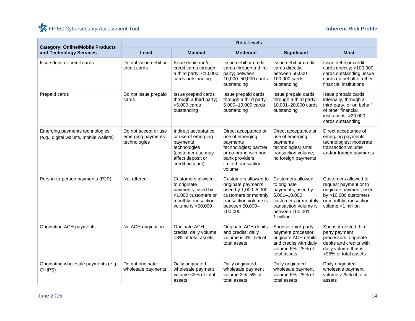| <b>Category: Online/Mobile Products</b>                                   | <b>Risk Levels</b>                                        |                                                                                                                                    |                                                                                                                                                           |                                                                                                                                                                 |                                                                                                                                                   |  |  |  |
|---------------------------------------------------------------------------|-----------------------------------------------------------|------------------------------------------------------------------------------------------------------------------------------------|-----------------------------------------------------------------------------------------------------------------------------------------------------------|-----------------------------------------------------------------------------------------------------------------------------------------------------------------|---------------------------------------------------------------------------------------------------------------------------------------------------|--|--|--|
| and Technology Services                                                   | Least                                                     | <b>Minimal</b>                                                                                                                     | <b>Moderate</b>                                                                                                                                           | Significant                                                                                                                                                     | <b>Most</b>                                                                                                                                       |  |  |  |
| Issue debit or credit cards                                               | Do not issue debit or<br>credit cards                     | Issue debit and/or<br>credit cards through<br>a third party; <10,000<br>cards outstanding                                          | Issue debit or credit<br>cards through a third<br>party; between<br>10,000-50,000 cards<br>outstanding                                                    | Issue debit or credit<br>cards directly;<br>between 50,000-<br>100,000 cards<br>outstanding                                                                     | Issue debit or credit<br>cards directly; >100,000<br>cards outstanding; issue<br>cards on behalf of other<br>financial institutions               |  |  |  |
| Prepaid cards                                                             | Do not issue prepaid<br>cards                             | Issue prepaid cards<br>through a third party;<br>$<$ 5,000 cards<br>outstanding                                                    | Issue prepaid cards<br>through a third party;<br>5,000-10,000 cards<br>outstanding                                                                        | Issue prepaid cards<br>through a third party;<br>10,001-20,000 cards<br>outstanding                                                                             | Issue prepaid cards<br>internally, through a<br>third party, or on behalf<br>of other financial<br>institutions; >20,000<br>cards outstanding     |  |  |  |
| Emerging payments technologies<br>(e.g., digital wallets, mobile wallets) | Do not accept or use<br>emerging payments<br>technologies | Indirect acceptance<br>or use of emerging<br>payments<br>technologies<br>(customer use may<br>affect deposit or<br>credit account) | Direct acceptance or<br>use of emerging<br>payments<br>technologies; partner<br>or co-brand with non-<br>bank providers;<br>limited transaction<br>volume | Direct acceptance or<br>use of emerging<br>payments<br>technologies; small<br>transaction volume;<br>no foreign payments                                        | Direct acceptance of<br>emerging payments<br>technologies; moderate<br>transaction volume<br>and/or foreign payments                              |  |  |  |
| Person-to-person payments (P2P)                                           | Not offered                                               | Customers allowed<br>to originate<br>payments; used by<br><1,000 customers or<br>monthly transaction<br>volume is $<$ 50,000       | Customers allowed to<br>originate payments;<br>used by 1,000-5,000<br>customers or monthly<br>transaction volume is<br>between 50,000-<br>100,000         | <b>Customers allowed</b><br>to originate<br>payments; used by<br>5,001-10,000<br>customers or monthly<br>transaction volume is<br>between 100,001-<br>1 million | Customers allowed to<br>request payment or to<br>originate payment; used<br>by $>10,000$ customers<br>or monthly transaction<br>volume >1 million |  |  |  |
| Originating ACH payments                                                  | No ACH origination                                        | Originate ACH<br>credits; daily volume<br><3% of total assets                                                                      | Originate ACH debits<br>and credits; daily<br>volume is 3%-5% of<br>total assets                                                                          | Sponsor third-party<br>payment processor;<br>originate ACH debits<br>and credits with daily<br>volume 6%-25% of<br>total assets                                 | Sponsor nested third-<br>party payment<br>processors; originate<br>debits and credits with<br>daily volume that is<br>>25% of total assets        |  |  |  |
| Originating wholesale payments (e.g.,<br>CHIPS)                           | Do not originate<br>wholesale payments                    | Daily originated<br>wholesale payment<br>volume <3% of total<br>assets                                                             | Daily originated<br>wholesale payment<br>volume 3%-5% of<br>total assets                                                                                  | Daily originated<br>wholesale payment<br>volume 6%-25% of<br>total assets                                                                                       | Daily originated<br>wholesale payment<br>volume >25% of total<br>assets                                                                           |  |  |  |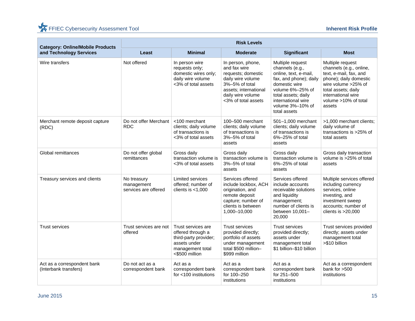|                                                                    | <b>Risk Levels</b>                                |                                                                                                                        |                                                                                                                                                                     |                                                                                                                                                                                                              |                                                                                                                                                                                                       |  |  |
|--------------------------------------------------------------------|---------------------------------------------------|------------------------------------------------------------------------------------------------------------------------|---------------------------------------------------------------------------------------------------------------------------------------------------------------------|--------------------------------------------------------------------------------------------------------------------------------------------------------------------------------------------------------------|-------------------------------------------------------------------------------------------------------------------------------------------------------------------------------------------------------|--|--|
| <b>Category: Online/Mobile Products</b><br>and Technology Services | Least                                             | <b>Minimal</b>                                                                                                         | <b>Moderate</b>                                                                                                                                                     | <b>Significant</b>                                                                                                                                                                                           | <b>Most</b>                                                                                                                                                                                           |  |  |
| Wire transfers                                                     | Not offered                                       | In person wire<br>requests only;<br>domestic wires only;<br>daily wire volume<br><3% of total assets                   | In person, phone,<br>and fax wire<br>requests; domestic<br>daily wire volume<br>3%-5% of total<br>assets; international<br>daily wire volume<br><3% of total assets | Multiple request<br>channels (e.g.,<br>online, text, e-mail,<br>fax, and phone); daily<br>domestic wire<br>volume 6%-25% of<br>total assets; daily<br>international wire<br>volume 3%-10% of<br>total assets | Multiple request<br>channels (e.g., online,<br>text, e-mail, fax, and<br>phone); daily domestic<br>wire volume >25% of<br>total assets; daily<br>international wire<br>volume >10% of total<br>assets |  |  |
| Merchant remote deposit capture<br>(RDC)                           | Do not offer Merchant<br><b>RDC</b>               | <100 merchant<br>clients; daily volume<br>of transactions is<br><3% of total assets                                    | 100-500 merchant<br>clients; daily volume<br>of transactions is<br>3%-5% of total<br>assets                                                                         | 501-1,000 merchant<br>clients; daily volume<br>of transactions is<br>6%-25% of total<br>assets                                                                                                               | >1,000 merchant clients;<br>daily volume of<br>transactions is >25% of<br>total assets                                                                                                                |  |  |
| Global remittances                                                 | Do not offer global<br>remittances                | Gross daily<br>transaction volume is<br><3% of total assets                                                            | Gross daily<br>transaction volume is<br>3%-5% of total<br>assets                                                                                                    | Gross daily<br>transaction volume is<br>6%-25% of total<br>assets                                                                                                                                            | Gross daily transaction<br>volume is >25% of total<br>assets                                                                                                                                          |  |  |
| Treasury services and clients                                      | No treasury<br>management<br>services are offered | <b>Limited services</b><br>offered; number of<br>clients is $<$ 1,000                                                  | Services offered<br>include lockbox, ACH<br>origination, and<br>remote deposit<br>capture; number of<br>clients is between<br>1,000-10,000                          | Services offered<br>include accounts<br>receivable solutions<br>and liquidity<br>management;<br>number of clients is<br>between 10,001-<br>20,000                                                            | Multiple services offered<br>including currency<br>services, online<br>investing, and<br>investment sweep<br>accounts; number of<br>clients is $>20,000$                                              |  |  |
| <b>Trust services</b>                                              | Trust services are not<br>offered                 | Trust services are<br>offered through a<br>third-party provider;<br>assets under<br>management total<br><\$500 million | <b>Trust services</b><br>provided directly;<br>portfolio of assets<br>under management<br>total \$500 million-<br>\$999 million                                     | <b>Trust services</b><br>provided directly;<br>assets under<br>management total<br>\$1 billion-\$10 billion                                                                                                  | Trust services provided<br>directly; assets under<br>management total<br>>\$10 billion                                                                                                                |  |  |
| Act as a correspondent bank<br>(Interbank transfers)               | Do not act as a<br>correspondent bank             | Act as a<br>correspondent bank<br>for <100 institutions                                                                | Act as a<br>correspondent bank<br>for 100-250<br>institutions                                                                                                       | Act as a<br>correspondent bank<br>for 251-500<br>institutions                                                                                                                                                | Act as a correspondent<br>bank for >500<br>institutions                                                                                                                                               |  |  |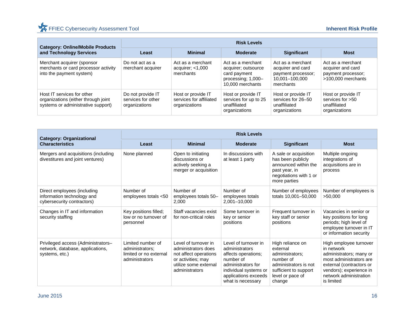| <b>Category: Online/Mobile Products</b>                                                                 | <b>Risk Levels</b>                                       |                                                                |                                                                                                    |                                                                                             |                                                                                    |  |  |
|---------------------------------------------------------------------------------------------------------|----------------------------------------------------------|----------------------------------------------------------------|----------------------------------------------------------------------------------------------------|---------------------------------------------------------------------------------------------|------------------------------------------------------------------------------------|--|--|
| and Technology Services                                                                                 | Least                                                    | <b>Minimal</b>                                                 | <b>Moderate</b>                                                                                    | <b>Significant</b>                                                                          | <b>Most</b>                                                                        |  |  |
| Merchant acquirer (sponsor<br>merchants or card processor activity<br>into the payment system)          | Do not act as a<br>merchant acquirer                     | Act as a merchant<br>acquirer; $<$ 1,000<br>merchants          | Act as a merchant<br>acquirer; outsource<br>card payment<br>processing; 1,000-<br>10,000 merchants | Act as a merchant<br>acquirer and card<br>payment processor;<br>10,001-100,000<br>merchants | Act as a merchant<br>acquirer and card<br>payment processor;<br>>100,000 merchants |  |  |
| Host IT services for other<br>organizations (either through joint<br>systems or administrative support) | Do not provide IT<br>services for other<br>organizations | Host or provide IT<br>services for affiliated<br>organizations | Host or provide IT<br>services for up to 25<br>unaffiliated<br>organizations                       | Host or provide IT<br>services for 26-50<br>unaffiliated<br>organizations                   | Host or provide IT<br>services for $>50$<br>unaffiliated<br>organizations          |  |  |

| <b>Category: Organizational</b>                                                          | <b>Risk Levels</b>                                                               |                                                                                                                                       |                                                                                                                                                                        |                                                                                                                                              |                                                                                                                                                                                           |  |
|------------------------------------------------------------------------------------------|----------------------------------------------------------------------------------|---------------------------------------------------------------------------------------------------------------------------------------|------------------------------------------------------------------------------------------------------------------------------------------------------------------------|----------------------------------------------------------------------------------------------------------------------------------------------|-------------------------------------------------------------------------------------------------------------------------------------------------------------------------------------------|--|
| <b>Characteristics</b>                                                                   | Least                                                                            | <b>Minimal</b>                                                                                                                        | <b>Moderate</b>                                                                                                                                                        | <b>Significant</b>                                                                                                                           | <b>Most</b>                                                                                                                                                                               |  |
| Mergers and acquisitions (including<br>divestitures and joint ventures)                  | None planned                                                                     | Open to initiating<br>discussions or<br>actively seeking a<br>merger or acquisition                                                   | In discussions with<br>at least 1 party                                                                                                                                | A sale or acquisition<br>has been publicly<br>announced within the<br>past year, in<br>negotiations with 1 or<br>more parties                | Multiple ongoing<br>integrations of<br>acquisitions are in<br>process                                                                                                                     |  |
| Direct employees (including<br>information technology and<br>cybersecurity contractors)  | Number of<br>employees totals <50                                                | Number of<br>employees totals 50-<br>2,000                                                                                            | Number of<br>employees totals<br>2,001-10,000                                                                                                                          | Number of employees<br>totals 10,001-50,000                                                                                                  | Number of employees is<br>>50,000                                                                                                                                                         |  |
| Changes in IT and information<br>security staffing                                       | Key positions filled;<br>low or no turnover of<br>personnel                      | Staff vacancies exist<br>for non-critical roles                                                                                       | Some turnover in<br>key or senior<br>positions                                                                                                                         | Frequent turnover in<br>key staff or senior<br>positions                                                                                     | Vacancies in senior or<br>key positions for long<br>periods; high level of<br>employee turnover in IT<br>or information security                                                          |  |
| Privileged access (Administrators-<br>network, database, applications,<br>systems, etc.) | Limited number of<br>administrators;<br>limited or no external<br>administrators | Level of turnover in<br>administrators does<br>not affect operations<br>or activities; may<br>utilize some external<br>administrators | Level of turnover in<br>administrators<br>affects operations;<br>number of<br>administrators for<br>individual systems or<br>applications exceeds<br>what is necessary | High reliance on<br>external<br>administrators;<br>number of<br>administrators is not<br>sufficient to support<br>level or pace of<br>change | High employee turnover<br>in network<br>administrators; many or<br>most administrators are<br>external (contractors or<br>vendors); experience in<br>network administration<br>is limited |  |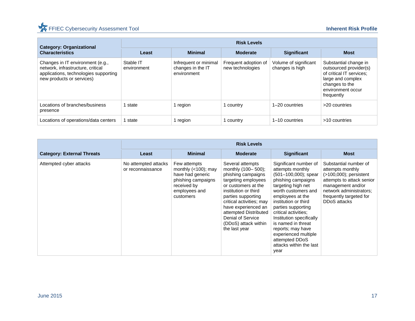## FFIEC Cybersecurity Assessment Tool **Inherent Risk Profile**

| <b>Category: Organizational</b>                                                                                                             | <b>Risk Levels</b>       |                                                           |                                          |                                          |                                                                                                                                                       |  |  |
|---------------------------------------------------------------------------------------------------------------------------------------------|--------------------------|-----------------------------------------------------------|------------------------------------------|------------------------------------------|-------------------------------------------------------------------------------------------------------------------------------------------------------|--|--|
| <b>Characteristics</b>                                                                                                                      | Least                    | <b>Minimal</b>                                            | <b>Moderate</b>                          | <b>Significant</b>                       | <b>Most</b>                                                                                                                                           |  |  |
| Changes in IT environment (e.g.,<br>network, infrastructure, critical<br>applications, technologies supporting<br>new products or services) | Stable IT<br>environment | Infrequent or minimal<br>changes in the IT<br>environment | Frequent adoption of<br>new technologies | Volume of significant<br>changes is high | Substantial change in<br>outsourced provider(s)<br>of critical IT services;<br>large and complex<br>changes to the<br>environment occur<br>frequently |  |  |
| Locations of branches/business<br>presence                                                                                                  | state                    | 1 region                                                  | country                                  | 1-20 countries                           | >20 countries                                                                                                                                         |  |  |
| Locations of operations/data centers                                                                                                        | state                    | region                                                    | country                                  | 1–10 countries                           | >10 countries                                                                                                                                         |  |  |

|                                   |                                           |                                                                                                                               | <b>Risk Levels</b>                                                                                                                                                                                                                                                                                 |                                                                                                                                                                                                                                                                                                                                                                                       |                                                                                                                                                                                                |
|-----------------------------------|-------------------------------------------|-------------------------------------------------------------------------------------------------------------------------------|----------------------------------------------------------------------------------------------------------------------------------------------------------------------------------------------------------------------------------------------------------------------------------------------------|---------------------------------------------------------------------------------------------------------------------------------------------------------------------------------------------------------------------------------------------------------------------------------------------------------------------------------------------------------------------------------------|------------------------------------------------------------------------------------------------------------------------------------------------------------------------------------------------|
| <b>Category: External Threats</b> | Least                                     | <b>Minimal</b>                                                                                                                | <b>Moderate</b>                                                                                                                                                                                                                                                                                    | <b>Significant</b>                                                                                                                                                                                                                                                                                                                                                                    | <b>Most</b>                                                                                                                                                                                    |
| Attempted cyber attacks           | No attempted attacks<br>or reconnaissance | Few attempts<br>monthly $(<100)$ ; may<br>have had generic<br>phishing campaigns<br>received by<br>employees and<br>customers | Several attempts<br>monthly (100-500);<br>phishing campaigns<br>targeting employees<br>or customers at the<br>institution or third<br>parties supporting<br>critical activities; may<br>have experienced an<br>attempted Distributed<br>Denial of Service<br>(DDoS) attack within<br>the last year | Significant number of<br>attempts monthly<br>$(501-100,000)$ ; spear<br>phishing campaigns<br>targeting high net<br>worth customers and<br>employees at the<br>institution or third<br>parties supporting<br>critical activities:<br>Institution specifically<br>is named in threat<br>reports; may have<br>experienced multiple<br>attempted DDoS<br>attacks within the last<br>year | Substantial number of<br>attempts monthly<br>$($ >100,000); persistent<br>attempts to attack senior<br>management and/or<br>network administrators;<br>frequently targeted for<br>DDoS attacks |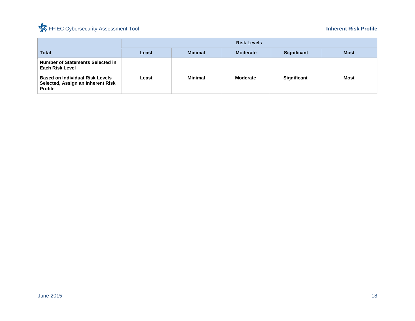## FFIEC Cybersecurity Assessment Tool **Inherent Risk Profile**

|                                                                                               |       |                | <b>Risk Levels</b> |                    |             |
|-----------------------------------------------------------------------------------------------|-------|----------------|--------------------|--------------------|-------------|
| <b>Total</b>                                                                                  | Least | <b>Minimal</b> | <b>Moderate</b>    | <b>Significant</b> | <b>Most</b> |
| Number of Statements Selected in<br><b>Each Risk Level</b>                                    |       |                |                    |                    |             |
| <b>Based on Individual Risk Levels</b><br>Selected, Assign an Inherent Risk<br><b>Profile</b> | Least | Minimal        | <b>Moderate</b>    | <b>Significant</b> | <b>Most</b> |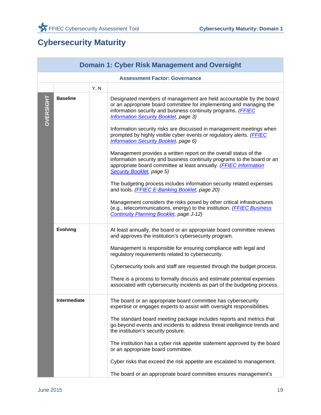## **Cybersecurity Maturity**

|           |                 |      | <b>Domain 1: Cyber Risk Management and Oversight</b>                                                                                                                                                                                                                                                                                                                                                                                                                                                                                                                                                                                                                                                                                                                                                                                                                                                                                                                                                                                         |
|-----------|-----------------|------|----------------------------------------------------------------------------------------------------------------------------------------------------------------------------------------------------------------------------------------------------------------------------------------------------------------------------------------------------------------------------------------------------------------------------------------------------------------------------------------------------------------------------------------------------------------------------------------------------------------------------------------------------------------------------------------------------------------------------------------------------------------------------------------------------------------------------------------------------------------------------------------------------------------------------------------------------------------------------------------------------------------------------------------------|
|           |                 |      | <b>Assessment Factor: Governance</b>                                                                                                                                                                                                                                                                                                                                                                                                                                                                                                                                                                                                                                                                                                                                                                                                                                                                                                                                                                                                         |
|           |                 | Y, N |                                                                                                                                                                                                                                                                                                                                                                                                                                                                                                                                                                                                                                                                                                                                                                                                                                                                                                                                                                                                                                              |
| OVERSIGHT | <b>Baseline</b> |      | Designated members of management are held accountable by the board<br>or an appropriate board committee for implementing and managing the<br>information security and business continuity programs. (FFIEC<br><b>Information Security Booklet, page 3)</b><br>Information security risks are discussed in management meetings when<br>prompted by highly visible cyber events or regulatory alerts. (FFIEC<br><b>Information Security Booklet, page 6)</b><br>Management provides a written report on the overall status of the<br>information security and business continuity programs to the board or an<br>appropriate board committee at least annually. (FFIEC Information<br>Security Booklet, page 5)<br>The budgeting process includes information security related expenses<br>and tools. (FFIEC E-Banking Booklet, page 20)<br>Management considers the risks posed by other critical infrastructures<br>(e.g., telecommunications, energy) to the institution. (FFIEC Business<br><b>Continuity Planning Booklet, page J-12)</b> |
|           | <b>Evolving</b> |      | At least annually, the board or an appropriate board committee reviews<br>and approves the institution's cybersecurity program.<br>Management is responsible for ensuring compliance with legal and<br>regulatory requirements related to cybersecurity.<br>Cybersecurity tools and staff are requested through the budget process.<br>There is a process to formally discuss and estimate potential expenses<br>associated with cybersecurity incidents as part of the budgeting process.                                                                                                                                                                                                                                                                                                                                                                                                                                                                                                                                                   |
|           | Intermediate    |      | The board or an appropriate board committee has cybersecurity<br>expertise or engages experts to assist with oversight responsibilities.<br>The standard board meeting package includes reports and metrics that<br>go beyond events and incidents to address threat intelligence trends and<br>the institution's security posture.<br>The institution has a cyber risk appetite statement approved by the board<br>or an appropriate board committee.<br>Cyber risks that exceed the risk appetite are escalated to management.<br>The board or an appropriate board committee ensures management's                                                                                                                                                                                                                                                                                                                                                                                                                                         |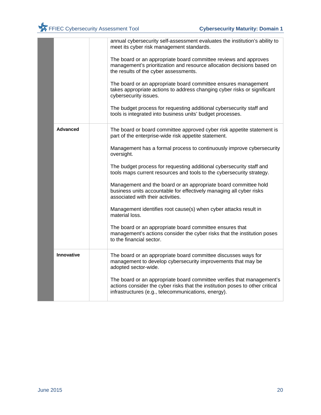|                 | annual cybersecurity self-assessment evaluates the institution's ability to<br>meet its cyber risk management standards.<br>The board or an appropriate board committee reviews and approves<br>management's prioritization and resource allocation decisions based on<br>the results of the cyber assessments.<br>The board or an appropriate board committee ensures management<br>takes appropriate actions to address changing cyber risks or significant |
|-----------------|---------------------------------------------------------------------------------------------------------------------------------------------------------------------------------------------------------------------------------------------------------------------------------------------------------------------------------------------------------------------------------------------------------------------------------------------------------------|
|                 | cybersecurity issues.<br>The budget process for requesting additional cybersecurity staff and<br>tools is integrated into business units' budget processes.                                                                                                                                                                                                                                                                                                   |
| <b>Advanced</b> | The board or board committee approved cyber risk appetite statement is<br>part of the enterprise-wide risk appetite statement.                                                                                                                                                                                                                                                                                                                                |
|                 | Management has a formal process to continuously improve cybersecurity<br>oversight.                                                                                                                                                                                                                                                                                                                                                                           |
|                 | The budget process for requesting additional cybersecurity staff and<br>tools maps current resources and tools to the cybersecurity strategy.                                                                                                                                                                                                                                                                                                                 |
|                 | Management and the board or an appropriate board committee hold<br>business units accountable for effectively managing all cyber risks<br>associated with their activities.                                                                                                                                                                                                                                                                                   |
|                 | Management identifies root cause(s) when cyber attacks result in<br>material loss.                                                                                                                                                                                                                                                                                                                                                                            |
|                 | The board or an appropriate board committee ensures that<br>management's actions consider the cyber risks that the institution poses<br>to the financial sector.                                                                                                                                                                                                                                                                                              |
| Innovative      | The board or an appropriate board committee discusses ways for<br>management to develop cybersecurity improvements that may be<br>adopted sector-wide.                                                                                                                                                                                                                                                                                                        |
|                 | The board or an appropriate board committee verifies that management's<br>actions consider the cyber risks that the institution poses to other critical<br>infrastructures (e.g., telecommunications, energy).                                                                                                                                                                                                                                                |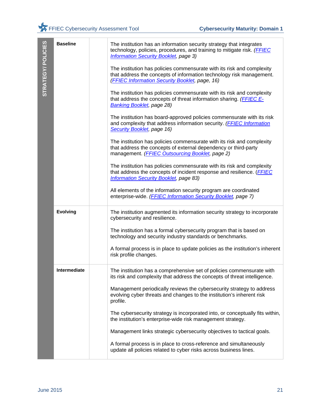|                   | <b>Baseline</b>     | The institution has an information security strategy that integrates<br>technology, policies, procedures, and training to mitigate risk. (FFIEC<br><b>Information Security Booklet, page 3)</b>  |
|-------------------|---------------------|--------------------------------------------------------------------------------------------------------------------------------------------------------------------------------------------------|
| STRATEGY/POLICIES |                     | The institution has policies commensurate with its risk and complexity<br>that address the concepts of information technology risk management.<br>(FFIEC Information Security Booklet, page, 16) |
|                   |                     | The institution has policies commensurate with its risk and complexity<br>that address the concepts of threat information sharing. (FFIEC E-<br><b>Banking Booklet</b> , page 28)                |
|                   |                     | The institution has board-approved policies commensurate with its risk<br>and complexity that address information security. (FFIEC Information<br>Security Booklet, page 16)                     |
|                   |                     | The institution has policies commensurate with its risk and complexity<br>that address the concepts of external dependency or third-party<br>management. (FFIEC Outsourcing Booklet, page 2)     |
|                   |                     | The institution has policies commensurate with its risk and complexity<br>that address the concepts of incident response and resilience. (FFIEC<br><b>Information Security Booklet, page 83)</b> |
|                   |                     | All elements of the information security program are coordinated<br>enterprise-wide. (FFIEC Information Security Booklet, page 7)                                                                |
|                   | <b>Evolving</b>     | The institution augmented its information security strategy to incorporate<br>cybersecurity and resilience.                                                                                      |
|                   |                     | The institution has a formal cybersecurity program that is based on<br>technology and security industry standards or benchmarks.                                                                 |
|                   |                     | A formal process is in place to update policies as the institution's inherent<br>risk profile changes.                                                                                           |
|                   | <b>Intermediate</b> | The institution has a comprehensive set of policies commensurate with<br>its risk and complexity that address the concepts of threat intelligence.                                               |
|                   |                     | Management periodically reviews the cybersecurity strategy to address<br>evolving cyber threats and changes to the institution's inherent risk<br>profile.                                       |
|                   |                     | The cybersecurity strategy is incorporated into, or conceptually fits within,<br>the institution's enterprise-wide risk management strategy.                                                     |
|                   |                     | Management links strategic cybersecurity objectives to tactical goals.                                                                                                                           |
|                   |                     | A formal process is in place to cross-reference and simultaneously<br>update all policies related to cyber risks across business lines.                                                          |
|                   |                     |                                                                                                                                                                                                  |
|                   |                     |                                                                                                                                                                                                  |
| <b>June 2015</b>  |                     | 21                                                                                                                                                                                               |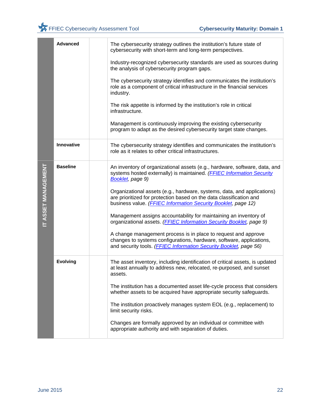|                     | <b>Advanced</b> | The cybersecurity strategy outlines the institution's future state of<br>cybersecurity with short-term and long-term perspectives.                                                                                                                                                                                                                                                                                                                                                                                                                                                                                                                                                                                                                    |
|---------------------|-----------------|-------------------------------------------------------------------------------------------------------------------------------------------------------------------------------------------------------------------------------------------------------------------------------------------------------------------------------------------------------------------------------------------------------------------------------------------------------------------------------------------------------------------------------------------------------------------------------------------------------------------------------------------------------------------------------------------------------------------------------------------------------|
|                     |                 | Industry-recognized cybersecurity standards are used as sources during<br>the analysis of cybersecurity program gaps.                                                                                                                                                                                                                                                                                                                                                                                                                                                                                                                                                                                                                                 |
|                     |                 | The cybersecurity strategy identifies and communicates the institution's<br>role as a component of critical infrastructure in the financial services<br>industry.                                                                                                                                                                                                                                                                                                                                                                                                                                                                                                                                                                                     |
|                     |                 | The risk appetite is informed by the institution's role in critical<br>infrastructure.                                                                                                                                                                                                                                                                                                                                                                                                                                                                                                                                                                                                                                                                |
|                     |                 | Management is continuously improving the existing cybersecurity<br>program to adapt as the desired cybersecurity target state changes.                                                                                                                                                                                                                                                                                                                                                                                                                                                                                                                                                                                                                |
|                     | Innovative      | The cybersecurity strategy identifies and communicates the institution's<br>role as it relates to other critical infrastructures.                                                                                                                                                                                                                                                                                                                                                                                                                                                                                                                                                                                                                     |
| IT ASSET MANAGEMENT | <b>Baseline</b> | An inventory of organizational assets (e.g., hardware, software, data, and<br>systems hosted externally) is maintained. (FFIEC Information Security<br>Booklet, page 9)<br>Organizational assets (e.g., hardware, systems, data, and applications)<br>are prioritized for protection based on the data classification and<br>business value. (FFIEC Information Security Booklet, page 12)<br>Management assigns accountability for maintaining an inventory of<br>organizational assets. (FFIEC Information Security Booklet, page 9)<br>A change management process is in place to request and approve<br>changes to systems configurations, hardware, software, applications,<br>and security tools. (FFIEC Information Security Booklet, page 56) |
|                     | <b>Evolving</b> | The asset inventory, including identification of critical assets, is updated<br>at least annually to address new, relocated, re-purposed, and sunset<br>assets.<br>The institution has a documented asset life-cycle process that considers<br>whether assets to be acquired have appropriate security safeguards.<br>The institution proactively manages system EOL (e.g., replacement) to<br>limit security risks.<br>Changes are formally approved by an individual or committee with<br>appropriate authority and with separation of duties.                                                                                                                                                                                                      |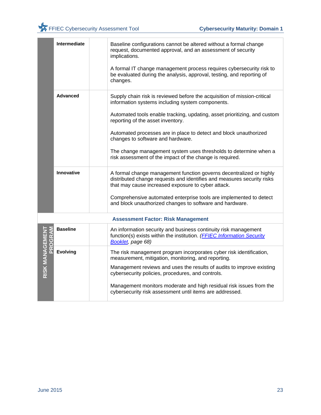

|                           | Intermediate      | Baseline configurations cannot be altered without a formal change<br>request, documented approval, and an assessment of security<br>implications.<br>A formal IT change management process requires cybersecurity risk to<br>be evaluated during the analysis, approval, testing, and reporting of |
|---------------------------|-------------------|----------------------------------------------------------------------------------------------------------------------------------------------------------------------------------------------------------------------------------------------------------------------------------------------------|
|                           |                   | changes.                                                                                                                                                                                                                                                                                           |
|                           | <b>Advanced</b>   | Supply chain risk is reviewed before the acquisition of mission-critical<br>information systems including system components.                                                                                                                                                                       |
|                           |                   | Automated tools enable tracking, updating, asset prioritizing, and custom<br>reporting of the asset inventory.                                                                                                                                                                                     |
|                           |                   | Automated processes are in place to detect and block unauthorized<br>changes to software and hardware.                                                                                                                                                                                             |
|                           |                   | The change management system uses thresholds to determine when a<br>risk assessment of the impact of the change is required.                                                                                                                                                                       |
|                           | <b>Innovative</b> | A formal change management function governs decentralized or highly<br>distributed change requests and identifies and measures security risks<br>that may cause increased exposure to cyber attack.                                                                                                |
|                           |                   | Comprehensive automated enterprise tools are implemented to detect<br>and block unauthorized changes to software and hardware.                                                                                                                                                                     |
|                           |                   | <b>Assessment Factor: Risk Management</b>                                                                                                                                                                                                                                                          |
| RISK MANAGEMEN'<br>PROGRA | <b>Baseline</b>   | An information security and business continuity risk management<br>function(s) exists within the institution. ( <b>FFIEC Information Security</b><br>Booklet, page 68)                                                                                                                             |
|                           | <b>Evolving</b>   | The risk management program incorporates cyber risk identification,<br>measurement, mitigation, monitoring, and reporting.                                                                                                                                                                         |
|                           |                   | Management reviews and uses the results of audits to improve existing<br>cybersecurity policies, procedures, and controls.                                                                                                                                                                         |
|                           |                   | Management monitors moderate and high residual risk issues from the<br>cybersecurity risk assessment until items are addressed.                                                                                                                                                                    |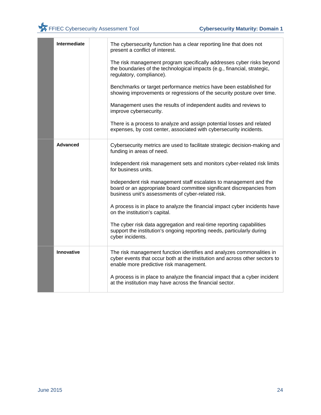| Intermediate    | The cybersecurity function has a clear reporting line that does not<br>present a conflict of interest.                                                                                            |
|-----------------|---------------------------------------------------------------------------------------------------------------------------------------------------------------------------------------------------|
|                 | The risk management program specifically addresses cyber risks beyond<br>the boundaries of the technological impacts (e.g., financial, strategic,<br>regulatory, compliance).                     |
|                 | Benchmarks or target performance metrics have been established for<br>showing improvements or regressions of the security posture over time.                                                      |
|                 | Management uses the results of independent audits and reviews to<br>improve cybersecurity.                                                                                                        |
|                 | There is a process to analyze and assign potential losses and related<br>expenses, by cost center, associated with cybersecurity incidents.                                                       |
| <b>Advanced</b> | Cybersecurity metrics are used to facilitate strategic decision-making and<br>funding in areas of need.                                                                                           |
|                 | Independent risk management sets and monitors cyber-related risk limits<br>for business units.                                                                                                    |
|                 | Independent risk management staff escalates to management and the<br>board or an appropriate board committee significant discrepancies from<br>business unit's assessments of cyber-related risk. |
|                 | A process is in place to analyze the financial impact cyber incidents have<br>on the institution's capital.                                                                                       |
|                 | The cyber risk data aggregation and real-time reporting capabilities<br>support the institution's ongoing reporting needs, particularly during<br>cyber incidents.                                |
| Innovative      | The risk management function identifies and analyzes commonalities in<br>cyber events that occur both at the institution and across other sectors to<br>enable more predictive risk management.   |
|                 | A process is in place to analyze the financial impact that a cyber incident<br>at the institution may have across the financial sector.                                                           |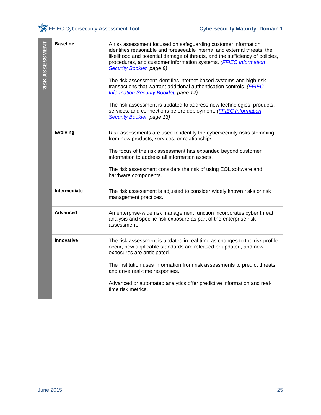| RISK ASSESSMENT  | <b>Baseline</b> | A risk assessment focused on safeguarding customer information<br>identifies reasonable and foreseeable internal and external threats, the<br>likelihood and potential damage of threats, and the sufficiency of policies,<br>procedures, and customer information systems. (FFIEC Information<br>Security Booklet, page 8)<br>The risk assessment identifies internet-based systems and high-risk<br>transactions that warrant additional authentication controls. (FFIEC<br><b>Information Security Booklet, page 12)</b><br>The risk assessment is updated to address new technologies, products,<br>services, and connections before deployment. (FFIEC Information<br>Security Booklet, page 13) |    |
|------------------|-----------------|-------------------------------------------------------------------------------------------------------------------------------------------------------------------------------------------------------------------------------------------------------------------------------------------------------------------------------------------------------------------------------------------------------------------------------------------------------------------------------------------------------------------------------------------------------------------------------------------------------------------------------------------------------------------------------------------------------|----|
|                  | <b>Evolving</b> | Risk assessments are used to identify the cybersecurity risks stemming<br>from new products, services, or relationships.<br>The focus of the risk assessment has expanded beyond customer<br>information to address all information assets.                                                                                                                                                                                                                                                                                                                                                                                                                                                           |    |
|                  |                 | The risk assessment considers the risk of using EOL software and<br>hardware components.                                                                                                                                                                                                                                                                                                                                                                                                                                                                                                                                                                                                              |    |
|                  | Intermediate    | The risk assessment is adjusted to consider widely known risks or risk<br>management practices.                                                                                                                                                                                                                                                                                                                                                                                                                                                                                                                                                                                                       |    |
|                  | <b>Advanced</b> | An enterprise-wide risk management function incorporates cyber threat<br>analysis and specific risk exposure as part of the enterprise risk<br>assessment.                                                                                                                                                                                                                                                                                                                                                                                                                                                                                                                                            |    |
|                  | Innovative      | The risk assessment is updated in real time as changes to the risk profile<br>occur, new applicable standards are released or updated, and new<br>exposures are anticipated.                                                                                                                                                                                                                                                                                                                                                                                                                                                                                                                          |    |
|                  |                 | The institution uses information from risk assessments to predict threats<br>and drive real-time responses.                                                                                                                                                                                                                                                                                                                                                                                                                                                                                                                                                                                           |    |
|                  |                 | Advanced or automated analytics offer predictive information and real-<br>time risk metrics.                                                                                                                                                                                                                                                                                                                                                                                                                                                                                                                                                                                                          |    |
|                  |                 |                                                                                                                                                                                                                                                                                                                                                                                                                                                                                                                                                                                                                                                                                                       |    |
|                  |                 |                                                                                                                                                                                                                                                                                                                                                                                                                                                                                                                                                                                                                                                                                                       |    |
| <b>June 2015</b> |                 |                                                                                                                                                                                                                                                                                                                                                                                                                                                                                                                                                                                                                                                                                                       | 25 |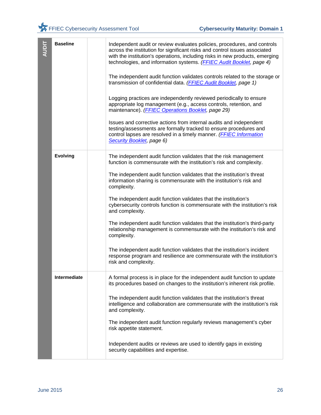| <b>AUDIT</b>     | <b>Baseline</b> | Independent audit or review evaluates policies, procedures, and controls<br>across the institution for significant risks and control issues associated<br>with the institution's operations, including risks in new products, emerging<br>technologies, and information systems. (FFIEC Audit Booklet, page 4)<br>The independent audit function validates controls related to the storage or<br>transmission of confidential data. (FFIEC Audit Booklet, page 1)<br>Logging practices are independently reviewed periodically to ensure |
|------------------|-----------------|------------------------------------------------------------------------------------------------------------------------------------------------------------------------------------------------------------------------------------------------------------------------------------------------------------------------------------------------------------------------------------------------------------------------------------------------------------------------------------------------------------------------------------------|
|                  |                 | appropriate log management (e.g., access controls, retention, and<br>maintenance). (FFIEC Operations Booklet, page 29)<br>Issues and corrective actions from internal audits and independent<br>testing/assessments are formally tracked to ensure procedures and<br>control lapses are resolved in a timely manner. (FFIEC Information<br>Security Booklet, page 6)                                                                                                                                                                     |
|                  | <b>Evolving</b> | The independent audit function validates that the risk management<br>function is commensurate with the institution's risk and complexity.<br>The independent audit function validates that the institution's threat<br>information sharing is commensurate with the institution's risk and                                                                                                                                                                                                                                               |
|                  |                 | complexity.<br>The independent audit function validates that the institution's<br>cybersecurity controls function is commensurate with the institution's risk<br>and complexity.                                                                                                                                                                                                                                                                                                                                                         |
|                  |                 | The independent audit function validates that the institution's third-party<br>relationship management is commensurate with the institution's risk and<br>complexity.                                                                                                                                                                                                                                                                                                                                                                    |
|                  |                 | The independent audit function validates that the institution's incident<br>response program and resilience are commensurate with the institution's<br>risk and complexity.                                                                                                                                                                                                                                                                                                                                                              |
|                  | Intermediate    | A formal process is in place for the independent audit function to update<br>its procedures based on changes to the institution's inherent risk profile.                                                                                                                                                                                                                                                                                                                                                                                 |
|                  |                 | The independent audit function validates that the institution's threat<br>intelligence and collaboration are commensurate with the institution's risk<br>and complexity.                                                                                                                                                                                                                                                                                                                                                                 |
|                  |                 | The independent audit function regularly reviews management's cyber<br>risk appetite statement.                                                                                                                                                                                                                                                                                                                                                                                                                                          |
|                  |                 | Independent audits or reviews are used to identify gaps in existing<br>security capabilities and expertise.                                                                                                                                                                                                                                                                                                                                                                                                                              |
| <b>June 2015</b> |                 | 26                                                                                                                                                                                                                                                                                                                                                                                                                                                                                                                                       |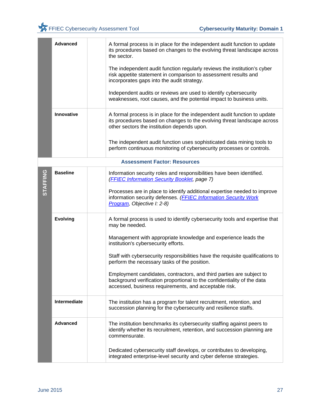|                 | <b>Advanced</b> | A formal process is in place for the independent audit function to update<br>its procedures based on changes to the evolving threat landscape across<br>the sector.                                      |
|-----------------|-----------------|----------------------------------------------------------------------------------------------------------------------------------------------------------------------------------------------------------|
|                 |                 | The independent audit function regularly reviews the institution's cyber<br>risk appetite statement in comparison to assessment results and<br>incorporates gaps into the audit strategy.                |
|                 |                 | Independent audits or reviews are used to identify cybersecurity<br>weaknesses, root causes, and the potential impact to business units.                                                                 |
|                 | Innovative      | A formal process is in place for the independent audit function to update<br>its procedures based on changes to the evolving threat landscape across<br>other sectors the institution depends upon.      |
|                 |                 | The independent audit function uses sophisticated data mining tools to<br>perform continuous monitoring of cybersecurity processes or controls.                                                          |
|                 |                 | <b>Assessment Factor: Resources</b>                                                                                                                                                                      |
| <b>STAFFING</b> | <b>Baseline</b> | Information security roles and responsibilities have been identified.<br>(FFIEC Information Security Booklet, page 7)                                                                                    |
|                 |                 | Processes are in place to identify additional expertise needed to improve<br>information security defenses. (FFIEC Information Security Work<br>Program, Objective I: 2-8)                               |
|                 | <b>Evolving</b> | A formal process is used to identify cybersecurity tools and expertise that<br>may be needed.                                                                                                            |
|                 |                 | Management with appropriate knowledge and experience leads the<br>institution's cybersecurity efforts.                                                                                                   |
|                 |                 | Staff with cybersecurity responsibilities have the requisite qualifications to<br>perform the necessary tasks of the position.                                                                           |
|                 |                 | Employment candidates, contractors, and third parties are subject to<br>background verification proportional to the confidentiality of the data<br>accessed, business requirements, and acceptable risk. |
|                 | Intermediate    | The institution has a program for talent recruitment, retention, and<br>succession planning for the cybersecurity and resilience staffs.                                                                 |
|                 | <b>Advanced</b> | The institution benchmarks its cybersecurity staffing against peers to<br>identify whether its recruitment, retention, and succession planning are<br>commensurate.                                      |
|                 |                 | Dedicated cybersecurity staff develops, or contributes to developing,<br>integrated enterprise-level security and cyber defense strategies.                                                              |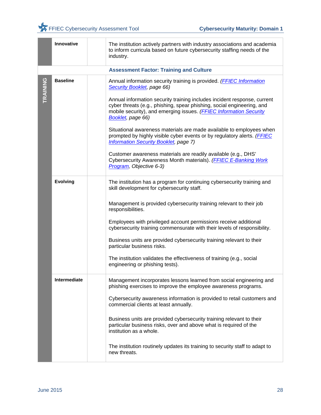|          | Innovative      | The institution actively partners with industry associations and academia<br>to inform curricula based on future cybersecurity staffing needs of the<br>industry.                                                                             |
|----------|-----------------|-----------------------------------------------------------------------------------------------------------------------------------------------------------------------------------------------------------------------------------------------|
|          |                 | <b>Assessment Factor: Training and Culture</b>                                                                                                                                                                                                |
| TRAINING | <b>Baseline</b> | Annual information security training is provided. (FFIEC Information<br>Security Booklet, page 66)                                                                                                                                            |
|          |                 | Annual information security training includes incident response, current<br>cyber threats (e.g., phishing, spear phishing, social engineering, and<br>mobile security), and emerging issues. (FFIEC Information Security<br>Booklet, page 66) |
|          |                 | Situational awareness materials are made available to employees when<br>prompted by highly visible cyber events or by regulatory alerts. (FFIEC<br><b>Information Security Booklet, page 7)</b>                                               |
|          |                 | Customer awareness materials are readily available (e.g., DHS'<br>Cybersecurity Awareness Month materials). (FFIEC E-Banking Work<br>Program, Objective 6-3)                                                                                  |
|          | <b>Evolving</b> | The institution has a program for continuing cybersecurity training and<br>skill development for cybersecurity staff.                                                                                                                         |
|          |                 | Management is provided cybersecurity training relevant to their job<br>responsibilities.                                                                                                                                                      |
|          |                 | Employees with privileged account permissions receive additional<br>cybersecurity training commensurate with their levels of responsibility.                                                                                                  |
|          |                 | Business units are provided cybersecurity training relevant to their<br>particular business risks.                                                                                                                                            |
|          |                 | The institution validates the effectiveness of training (e.g., social<br>engineering or phishing tests).                                                                                                                                      |
|          | Intermediate    | Management incorporates lessons learned from social engineering and<br>phishing exercises to improve the employee awareness programs.                                                                                                         |
|          |                 | Cybersecurity awareness information is provided to retail customers and<br>commercial clients at least annually.                                                                                                                              |
|          |                 | Business units are provided cybersecurity training relevant to their<br>particular business risks, over and above what is required of the<br>institution as a whole.                                                                          |
|          |                 | The institution routinely updates its training to security staff to adapt to<br>new threats.                                                                                                                                                  |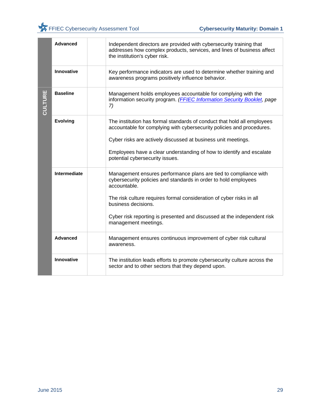|         | <b>Advanced</b>   | Independent directors are provided with cybersecurity training that<br>addresses how complex products, services, and lines of business affect<br>the institution's cyber risk.                                                                                                                                                                        |
|---------|-------------------|-------------------------------------------------------------------------------------------------------------------------------------------------------------------------------------------------------------------------------------------------------------------------------------------------------------------------------------------------------|
|         | <b>Innovative</b> | Key performance indicators are used to determine whether training and<br>awareness programs positively influence behavior.                                                                                                                                                                                                                            |
| CULTURE | <b>Baseline</b>   | Management holds employees accountable for complying with the<br>information security program. (FFIEC Information Security Booklet, page<br>7)                                                                                                                                                                                                        |
|         | <b>Evolving</b>   | The institution has formal standards of conduct that hold all employees<br>accountable for complying with cybersecurity policies and procedures.<br>Cyber risks are actively discussed at business unit meetings.<br>Employees have a clear understanding of how to identify and escalate<br>potential cybersecurity issues.                          |
|         | Intermediate      | Management ensures performance plans are tied to compliance with<br>cybersecurity policies and standards in order to hold employees<br>accountable.<br>The risk culture requires formal consideration of cyber risks in all<br>business decisions.<br>Cyber risk reporting is presented and discussed at the independent risk<br>management meetings. |
|         | <b>Advanced</b>   | Management ensures continuous improvement of cyber risk cultural<br>awareness.                                                                                                                                                                                                                                                                        |
|         | Innovative        | The institution leads efforts to promote cybersecurity culture across the<br>sector and to other sectors that they depend upon.                                                                                                                                                                                                                       |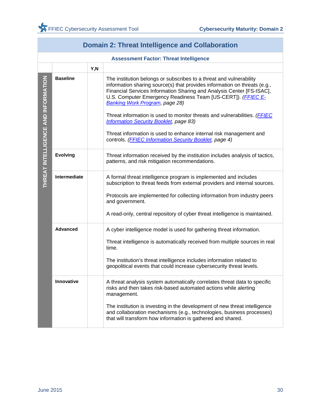| <b>Domain 2: Threat Intelligence and Collaboration</b> |                                               |      |                                                                                                                                                                                                                                                                                                                                                                                                                                                                                                                                                                                                          |
|--------------------------------------------------------|-----------------------------------------------|------|----------------------------------------------------------------------------------------------------------------------------------------------------------------------------------------------------------------------------------------------------------------------------------------------------------------------------------------------------------------------------------------------------------------------------------------------------------------------------------------------------------------------------------------------------------------------------------------------------------|
|                                                        | <b>Assessment Factor: Threat Intelligence</b> |      |                                                                                                                                                                                                                                                                                                                                                                                                                                                                                                                                                                                                          |
|                                                        |                                               | Y, N |                                                                                                                                                                                                                                                                                                                                                                                                                                                                                                                                                                                                          |
| THREAT INTELLIGENCE AND INFORMATION                    | <b>Baseline</b>                               |      | The institution belongs or subscribes to a threat and vulnerability<br>information sharing source(s) that provides information on threats (e.g.,<br>Financial Services Information Sharing and Analysis Center [FS-ISAC],<br>U.S. Computer Emergency Readiness Team [US-CERT]). (FFIEC E-<br><b>Banking Work Program, page 28)</b><br>Threat information is used to monitor threats and vulnerabilities. ( <b>FFIEC</b><br><b>Information Security Booklet, page 83)</b><br>Threat information is used to enhance internal risk management and<br>controls. (FFIEC Information Security Booklet, page 4) |
|                                                        | <b>Evolving</b>                               |      | Threat information received by the institution includes analysis of tactics,<br>patterns, and risk mitigation recommendations.                                                                                                                                                                                                                                                                                                                                                                                                                                                                           |
|                                                        | <b>Intermediate</b>                           |      | A formal threat intelligence program is implemented and includes<br>subscription to threat feeds from external providers and internal sources.<br>Protocols are implemented for collecting information from industry peers<br>and government.<br>A read-only, central repository of cyber threat intelligence is maintained.                                                                                                                                                                                                                                                                             |
|                                                        | <b>Advanced</b>                               |      | A cyber intelligence model is used for gathering threat information.<br>Threat intelligence is automatically received from multiple sources in real<br>time.<br>The institution's threat intelligence includes information related to<br>geopolitical events that could increase cybersecurity threat levels.                                                                                                                                                                                                                                                                                            |
|                                                        | <b>Innovative</b>                             |      | A threat analysis system automatically correlates threat data to specific<br>risks and then takes risk-based automated actions while alerting<br>management.<br>The institution is investing in the development of new threat intelligence<br>and collaboration mechanisms (e.g., technologies, business processes)<br>that will transform how information is gathered and shared.                                                                                                                                                                                                                       |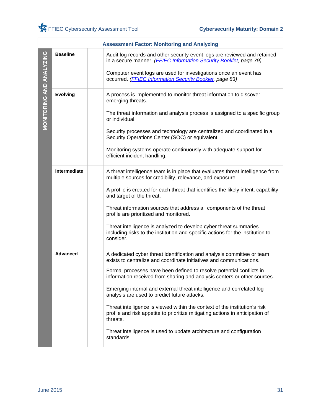|                          | <b>Assessment Factor: Monitoring and Analyzing</b> |                                                                                                                                                                                                                                                                                                                                                                                                                                                                                                                                                                                                                                                                                             |  |
|--------------------------|----------------------------------------------------|---------------------------------------------------------------------------------------------------------------------------------------------------------------------------------------------------------------------------------------------------------------------------------------------------------------------------------------------------------------------------------------------------------------------------------------------------------------------------------------------------------------------------------------------------------------------------------------------------------------------------------------------------------------------------------------------|--|
| MONITORING AND ANALYZING | <b>Baseline</b>                                    | Audit log records and other security event logs are reviewed and retained<br>in a secure manner. (FFIEC Information Security Booklet, page 79)<br>Computer event logs are used for investigations once an event has<br>occurred. (FFIEC Information Security Booklet, page 83)                                                                                                                                                                                                                                                                                                                                                                                                              |  |
|                          | <b>Evolving</b>                                    | A process is implemented to monitor threat information to discover<br>emerging threats.<br>The threat information and analysis process is assigned to a specific group<br>or individual.<br>Security processes and technology are centralized and coordinated in a<br>Security Operations Center (SOC) or equivalent.<br>Monitoring systems operate continuously with adequate support for<br>efficient incident handling.                                                                                                                                                                                                                                                                  |  |
|                          | Intermediate                                       | A threat intelligence team is in place that evaluates threat intelligence from<br>multiple sources for credibility, relevance, and exposure.<br>A profile is created for each threat that identifies the likely intent, capability,<br>and target of the threat.<br>Threat information sources that address all components of the threat<br>profile are prioritized and monitored.<br>Threat intelligence is analyzed to develop cyber threat summaries<br>including risks to the institution and specific actions for the institution to<br>consider.                                                                                                                                      |  |
|                          | <b>Advanced</b>                                    | A dedicated cyber threat identification and analysis committee or team<br>exists to centralize and coordinate initiatives and communications.<br>Formal processes have been defined to resolve potential conflicts in<br>information received from sharing and analysis centers or other sources.<br>Emerging internal and external threat intelligence and correlated log<br>analysis are used to predict future attacks.<br>Threat intelligence is viewed within the context of the institution's risk<br>profile and risk appetite to prioritize mitigating actions in anticipation of<br>threats.<br>Threat intelligence is used to update architecture and configuration<br>standards. |  |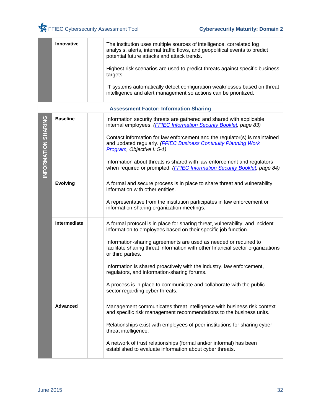|                     | Innovative      | The institution uses multiple sources of intelligence, correlated log<br>analysis, alerts, internal traffic flows, and geopolitical events to predict<br>potential future attacks and attack trends.<br>Highest risk scenarios are used to predict threats against specific business |
|---------------------|-----------------|--------------------------------------------------------------------------------------------------------------------------------------------------------------------------------------------------------------------------------------------------------------------------------------|
|                     |                 | targets.<br>IT systems automatically detect configuration weaknesses based on threat<br>intelligence and alert management so actions can be prioritized.                                                                                                                             |
|                     |                 | <b>Assessment Factor: Information Sharing</b>                                                                                                                                                                                                                                        |
|                     | <b>Baseline</b> | Information security threats are gathered and shared with applicable<br>internal employees. (FFIEC Information Security Booklet, page 83)                                                                                                                                            |
| INFORMATION SHARING |                 | Contact information for law enforcement and the regulator(s) is maintained<br>and updated regularly. (FFIEC Business Continuity Planning Work<br>Program, Objective I: 5-1)                                                                                                          |
|                     |                 | Information about threats is shared with law enforcement and regulators<br>when required or prompted. (FFIEC Information Security Booklet, page 84)                                                                                                                                  |
|                     | <b>Evolving</b> | A formal and secure process is in place to share threat and vulnerability<br>information with other entities.                                                                                                                                                                        |
|                     |                 | A representative from the institution participates in law enforcement or<br>information-sharing organization meetings.                                                                                                                                                               |
|                     | Intermediate    | A formal protocol is in place for sharing threat, vulnerability, and incident<br>information to employees based on their specific job function.                                                                                                                                      |
|                     |                 | Information-sharing agreements are used as needed or required to<br>facilitate sharing threat information with other financial sector organizations<br>or third parties.                                                                                                             |
|                     |                 | Information is shared proactively with the industry, law enforcement,<br>regulators, and information-sharing forums.                                                                                                                                                                 |
|                     |                 | A process is in place to communicate and collaborate with the public<br>sector regarding cyber threats.                                                                                                                                                                              |
|                     | <b>Advanced</b> | Management communicates threat intelligence with business risk context<br>and specific risk management recommendations to the business units.                                                                                                                                        |
|                     |                 | Relationships exist with employees of peer institutions for sharing cyber<br>threat intelligence.                                                                                                                                                                                    |
|                     |                 | A network of trust relationships (formal and/or informal) has been<br>established to evaluate information about cyber threats.                                                                                                                                                       |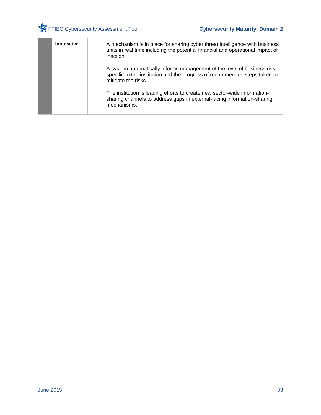| Innovative | A mechanism is in place for sharing cyber threat intelligence with business<br>units in real time including the potential financial and operational impact of<br>inaction.   |
|------------|------------------------------------------------------------------------------------------------------------------------------------------------------------------------------|
|            | A system automatically informs management of the level of business risk<br>specific to the institution and the progress of recommended steps taken to<br>mitigate the risks. |
|            | The institution is leading efforts to create new sector-wide information-<br>sharing channels to address gaps in external-facing information-sharing<br>mechanisms.          |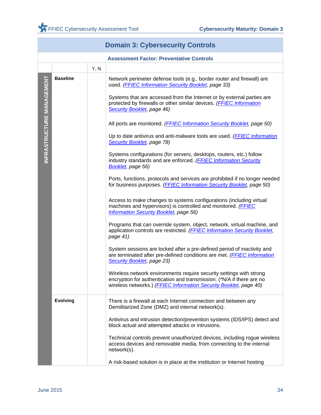|                           | <b>Domain 3: Cybersecurity Controls</b>         |      |                                                                                                                                                                                                                                                                                                                                                                                                                                                                                                                                                                                                                                                                                                                                                                                                                                                                                                                                                                                                                                                                                                                                                                                                                                                                                                                                                                                                         |  |
|---------------------------|-------------------------------------------------|------|---------------------------------------------------------------------------------------------------------------------------------------------------------------------------------------------------------------------------------------------------------------------------------------------------------------------------------------------------------------------------------------------------------------------------------------------------------------------------------------------------------------------------------------------------------------------------------------------------------------------------------------------------------------------------------------------------------------------------------------------------------------------------------------------------------------------------------------------------------------------------------------------------------------------------------------------------------------------------------------------------------------------------------------------------------------------------------------------------------------------------------------------------------------------------------------------------------------------------------------------------------------------------------------------------------------------------------------------------------------------------------------------------------|--|
|                           | <b>Assessment Factor: Preventative Controls</b> |      |                                                                                                                                                                                                                                                                                                                                                                                                                                                                                                                                                                                                                                                                                                                                                                                                                                                                                                                                                                                                                                                                                                                                                                                                                                                                                                                                                                                                         |  |
|                           |                                                 | Y, N |                                                                                                                                                                                                                                                                                                                                                                                                                                                                                                                                                                                                                                                                                                                                                                                                                                                                                                                                                                                                                                                                                                                                                                                                                                                                                                                                                                                                         |  |
| INFRASTRUCTURE MANAGEMENT | <b>Baseline</b>                                 |      | Network perimeter defense tools (e.g., border router and firewall) are<br>used. (FFIEC Information Security Booklet, page 33)<br>Systems that are accessed from the Internet or by external parties are<br>protected by firewalls or other similar devices. (FFIEC Information<br><b>Security Booklet, page 46)</b><br>All ports are monitored. (FFIEC Information Security Booklet, page 50)<br>Up to date antivirus and anti-malware tools are used. ( <b>FFIEC Information</b><br><b>Security Booklet, page 78)</b><br>Systems configurations (for servers, desktops, routers, etc.) follow<br>industry standards and are enforced. (FFIEC Information Security<br>Booklet, page 56)<br>Ports, functions, protocols and services are prohibited if no longer needed<br>for business purposes. (FFIEC Information Security Booklet, page 50)<br>Access to make changes to systems configurations (including virtual<br>machines and hypervisors) is controlled and monitored. (FFIEC<br><b>Information Security Booklet, page 56)</b><br>Programs that can override system, object, network, virtual machine, and<br>application controls are restricted. (FFIEC Information Security Booklet,<br>page 41)<br>System sessions are locked after a pre-defined period of inactivity and<br>are terminated after pre-defined conditions are met. (FFIEC Information<br><b>Security Booklet, page 23)</b> |  |
|                           |                                                 |      | Wireless network environments require security settings with strong<br>encryption for authentication and transmission. (*N/A if there are no<br>wireless networks.) (FFIEC Information Security Booklet, page 40)                                                                                                                                                                                                                                                                                                                                                                                                                                                                                                                                                                                                                                                                                                                                                                                                                                                                                                                                                                                                                                                                                                                                                                                       |  |
|                           | <b>Evolving</b>                                 |      | There is a firewall at each Internet connection and between any<br>Demilitarized Zone (DMZ) and internal network(s).                                                                                                                                                                                                                                                                                                                                                                                                                                                                                                                                                                                                                                                                                                                                                                                                                                                                                                                                                                                                                                                                                                                                                                                                                                                                                    |  |
|                           |                                                 |      | Antivirus and intrusion detection/prevention systems (IDS/IPS) detect and<br>block actual and attempted attacks or intrusions.                                                                                                                                                                                                                                                                                                                                                                                                                                                                                                                                                                                                                                                                                                                                                                                                                                                                                                                                                                                                                                                                                                                                                                                                                                                                          |  |
|                           |                                                 |      | Technical controls prevent unauthorized devices, including rogue wireless<br>access devices and removable media, from connecting to the internal<br>network(s).                                                                                                                                                                                                                                                                                                                                                                                                                                                                                                                                                                                                                                                                                                                                                                                                                                                                                                                                                                                                                                                                                                                                                                                                                                         |  |
|                           |                                                 |      | A risk-based solution is in place at the institution or Internet hosting                                                                                                                                                                                                                                                                                                                                                                                                                                                                                                                                                                                                                                                                                                                                                                                                                                                                                                                                                                                                                                                                                                                                                                                                                                                                                                                                |  |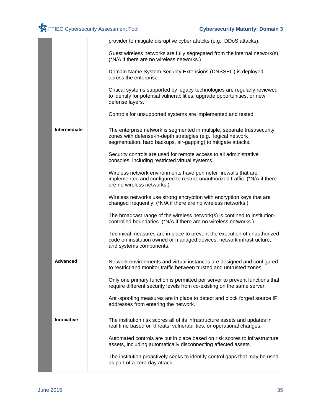|                 | provider to mitigate disruptive cyber attacks (e.g., DDoS attacks).                                                                                                                                        |
|-----------------|------------------------------------------------------------------------------------------------------------------------------------------------------------------------------------------------------------|
|                 | Guest wireless networks are fully segregated from the internal network(s).<br>(*N/A if there are no wireless networks.)                                                                                    |
|                 | Domain Name System Security Extensions (DNSSEC) is deployed<br>across the enterprise.                                                                                                                      |
|                 | Critical systems supported by legacy technologies are regularly reviewed<br>to identify for potential vulnerabilities, upgrade opportunities, or new<br>defense layers.                                    |
|                 | Controls for unsupported systems are implemented and tested.                                                                                                                                               |
| Intermediate    | The enterprise network is segmented in multiple, separate trust/security<br>zones with defense-in-depth strategies (e.g., logical network<br>segmentation, hard backups, air-gapping) to mitigate attacks. |
|                 | Security controls are used for remote access to all administrative<br>consoles, including restricted virtual systems.                                                                                      |
|                 | Wireless network environments have perimeter firewalls that are<br>implemented and configured to restrict unauthorized traffic. (*N/A if there<br>are no wireless networks.)                               |
|                 | Wireless networks use strong encryption with encryption keys that are<br>changed frequently. (*N/A if there are no wireless networks.)                                                                     |
|                 | The broadcast range of the wireless network(s) is confined to institution-<br>controlled boundaries. (*N/A if there are no wireless networks.)                                                             |
|                 | Technical measures are in place to prevent the execution of unauthorized<br>code on institution owned or managed devices, network infrastructure,<br>and systems components.                               |
| <b>Advanced</b> | Network environments and virtual instances are designed and configured<br>to restrict and monitor traffic between trusted and untrusted zones.                                                             |
|                 | Only one primary function is permitted per server to prevent functions that<br>require different security levels from co-existing on the same server.                                                      |
|                 | Anti-spoofing measures are in place to detect and block forged source IP<br>addresses from entering the network.                                                                                           |
| Innovative      | The institution risk scores all of its infrastructure assets and updates in<br>real time based on threats, vulnerabilities, or operational changes.                                                        |
|                 | Automated controls are put in place based on risk scores to infrastructure<br>assets, including automatically disconnecting affected assets.                                                               |
|                 | The institution proactively seeks to identify control gaps that may be used<br>as part of a zero-day attack.                                                                                               |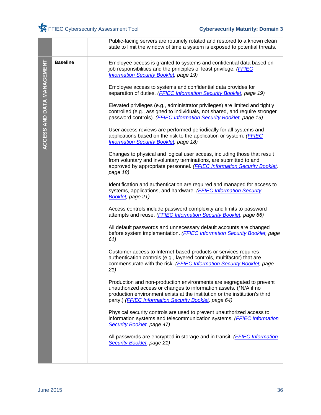|                            |                 | Public-facing servers are routinely rotated and restored to a known clean<br>state to limit the window of time a system is exposed to potential threats.                                                                                                                          |
|----------------------------|-----------------|-----------------------------------------------------------------------------------------------------------------------------------------------------------------------------------------------------------------------------------------------------------------------------------|
| ACCESS AND DATA MANAGEMENT | <b>Baseline</b> | Employee access is granted to systems and confidential data based on<br>job responsibilities and the principles of least privilege. (FFIEC<br><b>Information Security Booklet, page 19)</b>                                                                                       |
|                            |                 | Employee access to systems and confidential data provides for<br>separation of duties. (FFIEC Information Security Booklet, page 19)                                                                                                                                              |
|                            |                 | Elevated privileges (e.g., administrator privileges) are limited and tightly<br>controlled (e.g., assigned to individuals, not shared, and require stronger<br>password controls). (FFIEC Information Security Booklet, page 19)                                                  |
|                            |                 | User access reviews are performed periodically for all systems and<br>applications based on the risk to the application or system. (FFIEC<br><b>Information Security Booklet, page 18)</b>                                                                                        |
|                            |                 | Changes to physical and logical user access, including those that result<br>from voluntary and involuntary terminations, are submitted to and<br>approved by appropriate personnel. (FFIEC Information Security Booklet,<br>page 18)                                              |
|                            |                 | Identification and authentication are required and managed for access to<br>systems, applications, and hardware. (FFIEC Information Security<br>Booklet, page 21)                                                                                                                 |
|                            |                 | Access controls include password complexity and limits to password<br>attempts and reuse. (FFIEC Information Security Booklet, page 66)                                                                                                                                           |
|                            |                 | All default passwords and unnecessary default accounts are changed<br>before system implementation. (FFIEC Information Security Booklet, page<br>61)                                                                                                                              |
|                            |                 | Customer access to Internet-based products or services requires<br>authentication controls (e.g., layered controls, multifactor) that are<br>commensurate with the risk. (FFIEC Information Security Booklet, page<br>21)                                                         |
|                            |                 | Production and non-production environments are segregated to prevent<br>unauthorized access or changes to information assets. (*N/A if no<br>production environment exists at the institution or the institution's third<br>party.) (FFIEC Information Security Booklet, page 64) |
|                            |                 | Physical security controls are used to prevent unauthorized access to<br>information systems and telecommunication systems. (FFIEC Information<br>Security Booklet, page 47)                                                                                                      |
|                            |                 | All passwords are encrypted in storage and in transit. ( <b>FFIEC Information</b><br>Security Booklet, page 21)                                                                                                                                                                   |
|                            |                 |                                                                                                                                                                                                                                                                                   |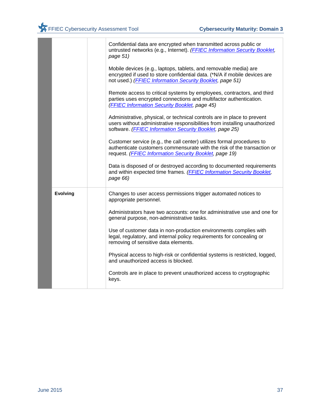|                 | Confidential data are encrypted when transmitted across public or<br>untrusted networks (e.g., Internet). (FFIEC Information Security Booklet,<br>page 51)                                                       |
|-----------------|------------------------------------------------------------------------------------------------------------------------------------------------------------------------------------------------------------------|
|                 | Mobile devices (e.g., laptops, tablets, and removable media) are<br>encrypted if used to store confidential data. (*N/A if mobile devices are<br>not used.) (FFIEC Information Security Booklet, page 51)        |
|                 | Remote access to critical systems by employees, contractors, and third<br>parties uses encrypted connections and multifactor authentication.<br>(FFIEC Information Security Booklet, page 45)                    |
|                 | Administrative, physical, or technical controls are in place to prevent<br>users without administrative responsibilities from installing unauthorized<br>software. (FFIEC Information Security Booklet, page 25) |
|                 | Customer service (e.g., the call center) utilizes formal procedures to<br>authenticate customers commensurate with the risk of the transaction or<br>request. (FFIEC Information Security Booklet, page 19)      |
|                 | Data is disposed of or destroyed according to documented requirements<br>and within expected time frames. (FFIEC Information Security Booklet,<br>page 66)                                                       |
| <b>Evolving</b> | Changes to user access permissions trigger automated notices to<br>appropriate personnel.                                                                                                                        |
|                 | Administrators have two accounts: one for administrative use and one for<br>general purpose, non-administrative tasks.                                                                                           |
|                 | Use of customer data in non-production environments complies with<br>legal, regulatory, and internal policy requirements for concealing or<br>removing of sensitive data elements.                               |
|                 | Physical access to high-risk or confidential systems is restricted, logged,<br>and unauthorized access is blocked.                                                                                               |
|                 | Controls are in place to prevent unauthorized access to cryptographic<br>keys.                                                                                                                                   |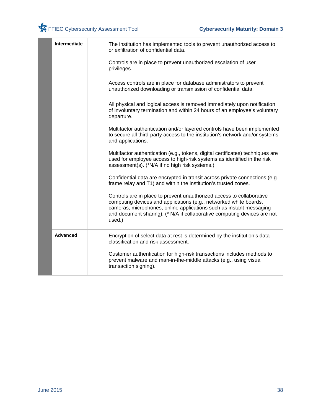| Controls are in place to prevent unauthorized escalation of user<br>privileges.<br>Access controls are in place for database administrators to prevent<br>unauthorized downloading or transmission of confidential data.<br>All physical and logical access is removed immediately upon notification    |  |
|---------------------------------------------------------------------------------------------------------------------------------------------------------------------------------------------------------------------------------------------------------------------------------------------------------|--|
|                                                                                                                                                                                                                                                                                                         |  |
|                                                                                                                                                                                                                                                                                                         |  |
| of involuntary termination and within 24 hours of an employee's voluntary<br>departure.                                                                                                                                                                                                                 |  |
| Multifactor authentication and/or layered controls have been implemented<br>to secure all third-party access to the institution's network and/or systems<br>and applications.                                                                                                                           |  |
| Multifactor authentication (e.g., tokens, digital certificates) techniques are<br>used for employee access to high-risk systems as identified in the risk<br>assessment(s). (*N/A if no high risk systems.)                                                                                             |  |
| Confidential data are encrypted in transit across private connections (e.g.,<br>frame relay and T1) and within the institution's trusted zones.                                                                                                                                                         |  |
| Controls are in place to prevent unauthorized access to collaborative<br>computing devices and applications (e.g., networked white boards,<br>cameras, microphones, online applications such as instant messaging<br>and document sharing). (* N/A if collaborative computing devices are not<br>used.) |  |
| <b>Advanced</b><br>Encryption of select data at rest is determined by the institution's data<br>classification and risk assessment.                                                                                                                                                                     |  |
| Customer authentication for high-risk transactions includes methods to<br>prevent malware and man-in-the-middle attacks (e.g., using visual<br>transaction signing).                                                                                                                                    |  |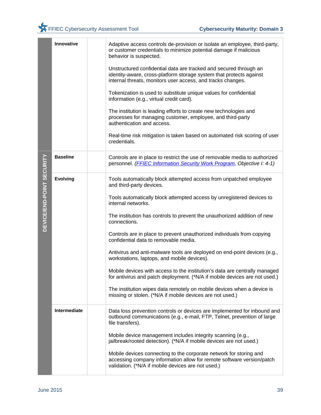|                           | Innovative      | Adaptive access controls de-provision or isolate an employee, third-party,<br>or customer credentials to minimize potential damage if malicious<br>behavior is suspected.                               |
|---------------------------|-----------------|---------------------------------------------------------------------------------------------------------------------------------------------------------------------------------------------------------|
|                           |                 | Unstructured confidential data are tracked and secured through an<br>identity-aware, cross-platform storage system that protects against<br>internal threats, monitors user access, and tracks changes. |
|                           |                 | Tokenization is used to substitute unique values for confidential<br>information (e.g., virtual credit card).                                                                                           |
|                           |                 | The institution is leading efforts to create new technologies and<br>processes for managing customer, employee, and third-party<br>authentication and access.                                           |
|                           |                 | Real-time risk mitigation is taken based on automated risk scoring of user<br>credentials.                                                                                                              |
|                           | <b>Baseline</b> | Controls are in place to restrict the use of removable media to authorized<br>personnel. ( <b>FFIEC Information Security Work Program</b> , Objective I: 4-1)                                           |
|                           | <b>Evolving</b> | Tools automatically block attempted access from unpatched employee<br>and third-party devices.                                                                                                          |
| DEVICE/END-POINT SECURITY |                 | Tools automatically block attempted access by unregistered devices to<br>internal networks.                                                                                                             |
|                           |                 | The institution has controls to prevent the unauthorized addition of new<br>connections.                                                                                                                |
|                           |                 | Controls are in place to prevent unauthorized individuals from copying<br>confidential data to removable media.                                                                                         |
|                           |                 | Antivirus and anti-malware tools are deployed on end-point devices (e.g.,<br>workstations, laptops, and mobile devices).                                                                                |
|                           |                 | Mobile devices with access to the institution's data are centrally managed<br>for antivirus and patch deployment. (*N/A if mobile devices are not used.)                                                |
|                           |                 | The institution wipes data remotely on mobile devices when a device is<br>missing or stolen. (*N/A if mobile devices are not used.)                                                                     |
|                           | Intermediate    | Data loss prevention controls or devices are implemented for inbound and<br>outbound communications (e.g., e-mail, FTP, Telnet, prevention of large<br>file transfers).                                 |
|                           |                 | Mobile device management includes integrity scanning (e.g.,<br>jailbreak/rooted detection). (*N/A if mobile devices are not used.)                                                                      |
|                           |                 | Mobile devices connecting to the corporate network for storing and<br>accessing company information allow for remote software version/patch<br>validation. (*N/A if mobile devices are not used.)       |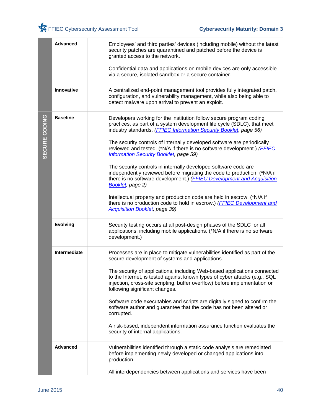|               | <b>Advanced</b> | Employees' and third parties' devices (including mobile) without the latest<br>security patches are quarantined and patched before the device is<br>granted access to the network.<br>Confidential data and applications on mobile devices are only accessible<br>via a secure, isolated sandbox or a secure container.                                                   |
|---------------|-----------------|---------------------------------------------------------------------------------------------------------------------------------------------------------------------------------------------------------------------------------------------------------------------------------------------------------------------------------------------------------------------------|
|               |                 |                                                                                                                                                                                                                                                                                                                                                                           |
|               | Innovative      | A centralized end-point management tool provides fully integrated patch,<br>configuration, and vulnerability management, while also being able to<br>detect malware upon arrival to prevent an exploit.                                                                                                                                                                   |
| SECURE CODING | <b>Baseline</b> | Developers working for the institution follow secure program coding<br>practices, as part of a system development life cycle (SDLC), that meet<br>industry standards. (FFIEC Information Security Booklet, page 56)<br>The security controls of internally developed software are periodically<br>reviewed and tested. (*N/A if there is no software development.) (FFIEC |
|               |                 | <b>Information Security Booklet, page 59)</b>                                                                                                                                                                                                                                                                                                                             |
|               |                 | The security controls in internally developed software code are<br>independently reviewed before migrating the code to production. (*N/A if<br>there is no software development.) (FFIEC Development and Acquisition<br>Booklet, page 2)                                                                                                                                  |
|               |                 | Intellectual property and production code are held in escrow. (*N/A if<br>there is no production code to hold in escrow.) (FFIEC Development and<br><b>Acquisition Booklet, page 39)</b>                                                                                                                                                                                  |
|               | <b>Evolving</b> | Security testing occurs at all post-design phases of the SDLC for all<br>applications, including mobile applications. (*N/A if there is no software<br>development.)                                                                                                                                                                                                      |
|               | Intermediate    | Processes are in place to mitigate vulnerabilities identified as part of the<br>secure development of systems and applications.                                                                                                                                                                                                                                           |
|               |                 | The security of applications, including Web-based applications connected<br>to the Internet, is tested against known types of cyber attacks (e.g., SQL<br>injection, cross-site scripting, buffer overflow) before implementation or<br>following significant changes.                                                                                                    |
|               |                 | Software code executables and scripts are digitally signed to confirm the<br>software author and guarantee that the code has not been altered or<br>corrupted.                                                                                                                                                                                                            |
|               |                 | A risk-based, independent information assurance function evaluates the<br>security of internal applications.                                                                                                                                                                                                                                                              |
|               | <b>Advanced</b> | Vulnerabilities identified through a static code analysis are remediated<br>before implementing newly developed or changed applications into<br>production.                                                                                                                                                                                                               |
|               |                 | All interdependencies between applications and services have been                                                                                                                                                                                                                                                                                                         |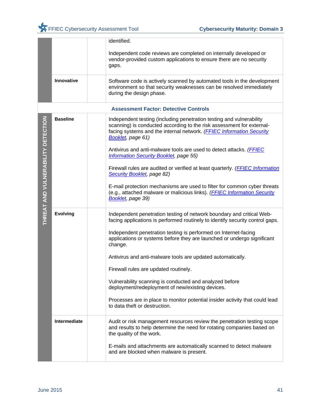|                                    |                   | identified.                                                                                                                                                                                                                                |
|------------------------------------|-------------------|--------------------------------------------------------------------------------------------------------------------------------------------------------------------------------------------------------------------------------------------|
|                                    |                   | Independent code reviews are completed on internally developed or<br>vendor-provided custom applications to ensure there are no security<br>gaps.                                                                                          |
|                                    | <b>Innovative</b> | Software code is actively scanned by automated tools in the development<br>environment so that security weaknesses can be resolved immediately<br>during the design phase.                                                                 |
|                                    |                   | <b>Assessment Factor: Detective Controls</b>                                                                                                                                                                                               |
|                                    | <b>Baseline</b>   | Independent testing (including penetration testing and vulnerability<br>scanning) is conducted according to the risk assessment for external-<br>facing systems and the internal network. (FFIEC Information Security<br>Booklet, page 61) |
|                                    |                   | Antivirus and anti-malware tools are used to detect attacks. ( <b>FFIEC</b><br><b>Information Security Booklet, page 55)</b>                                                                                                               |
|                                    |                   | Firewall rules are audited or verified at least quarterly. ( <b>FFIEC Information</b><br>Security Booklet, page 82)                                                                                                                        |
| THREAT AND VULNERABILITY DETECTION |                   | E-mail protection mechanisms are used to filter for common cyber threats<br>(e.g., attached malware or malicious links). ( <b>FFIEC Information Security</b><br>Booklet, page 39)                                                          |
|                                    | <b>Evolving</b>   | Independent penetration testing of network boundary and critical Web-<br>facing applications is performed routinely to identify security control gaps.                                                                                     |
|                                    |                   | Independent penetration testing is performed on Internet-facing<br>applications or systems before they are launched or undergo significant<br>change.                                                                                      |
|                                    |                   | Antivirus and anti-malware tools are updated automatically.                                                                                                                                                                                |
|                                    |                   | Firewall rules are updated routinely.                                                                                                                                                                                                      |
|                                    |                   | Vulnerability scanning is conducted and analyzed before<br>deployment/redeployment of new/existing devices.                                                                                                                                |
|                                    |                   | Processes are in place to monitor potential insider activity that could lead<br>to data theft or destruction.                                                                                                                              |
|                                    | Intermediate      | Audit or risk management resources review the penetration testing scope<br>and results to help determine the need for rotating companies based on<br>the quality of the work.                                                              |
|                                    |                   | E-mails and attachments are automatically scanned to detect malware<br>and are blocked when malware is present.                                                                                                                            |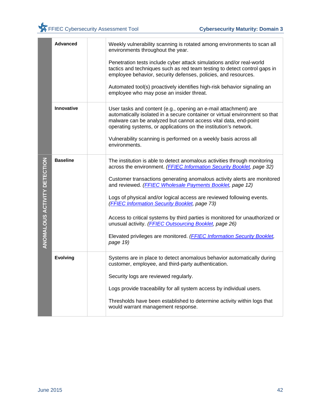|                              | <b>Advanced</b> | Weekly vulnerability scanning is rotated among environments to scan all<br>environments throughout the year.<br>Penetration tests include cyber attack simulations and/or real-world<br>tactics and techniques such as red team testing to detect control gaps in<br>employee behavior, security defenses, policies, and resources.                                                                                                                                                                                                                                                                                                                    |
|------------------------------|-----------------|--------------------------------------------------------------------------------------------------------------------------------------------------------------------------------------------------------------------------------------------------------------------------------------------------------------------------------------------------------------------------------------------------------------------------------------------------------------------------------------------------------------------------------------------------------------------------------------------------------------------------------------------------------|
|                              |                 | Automated tool(s) proactively identifies high-risk behavior signaling an<br>employee who may pose an insider threat.                                                                                                                                                                                                                                                                                                                                                                                                                                                                                                                                   |
|                              | Innovative      | User tasks and content (e.g., opening an e-mail attachment) are<br>automatically isolated in a secure container or virtual environment so that<br>malware can be analyzed but cannot access vital data, end-point<br>operating systems, or applications on the institution's network.                                                                                                                                                                                                                                                                                                                                                                  |
|                              |                 | Vulnerability scanning is performed on a weekly basis across all<br>environments.                                                                                                                                                                                                                                                                                                                                                                                                                                                                                                                                                                      |
| ANOMALOUS ACTIVITY DETECTION | <b>Baseline</b> | The institution is able to detect anomalous activities through monitoring<br>across the environment. (FFIEC Information Security Booklet, page 32)<br>Customer transactions generating anomalous activity alerts are monitored<br>and reviewed. (FFIEC Wholesale Payments Booklet, page 12)<br>Logs of physical and/or logical access are reviewed following events.<br>(FFIEC Information Security Booklet, page 73)<br>Access to critical systems by third parties is monitored for unauthorized or<br>unusual activity. (FFIEC Outsourcing Booklet, page 26)<br>Elevated privileges are monitored. (FFIEC Information Security Booklet,<br>page 19) |
|                              | <b>Evolving</b> | Systems are in place to detect anomalous behavior automatically during<br>customer, employee, and third-party authentication.<br>Security logs are reviewed regularly.<br>Logs provide traceability for all system access by individual users.<br>Thresholds have been established to determine activity within logs that<br>would warrant management response.                                                                                                                                                                                                                                                                                        |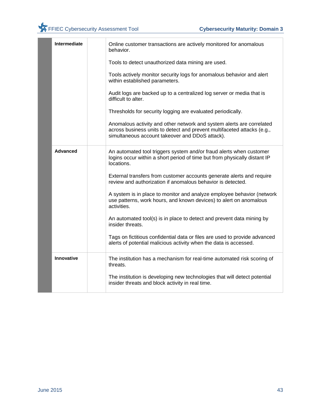|  | Intermediate    | Online customer transactions are actively monitored for anomalous<br>behavior.                                                                                                                      |
|--|-----------------|-----------------------------------------------------------------------------------------------------------------------------------------------------------------------------------------------------|
|  |                 | Tools to detect unauthorized data mining are used.                                                                                                                                                  |
|  |                 | Tools actively monitor security logs for anomalous behavior and alert<br>within established parameters.                                                                                             |
|  |                 | Audit logs are backed up to a centralized log server or media that is<br>difficult to alter.                                                                                                        |
|  |                 | Thresholds for security logging are evaluated periodically.                                                                                                                                         |
|  |                 | Anomalous activity and other network and system alerts are correlated<br>across business units to detect and prevent multifaceted attacks (e.g.,<br>simultaneous account takeover and DDoS attack). |
|  | <b>Advanced</b> | An automated tool triggers system and/or fraud alerts when customer<br>logins occur within a short period of time but from physically distant IP<br>locations.                                      |
|  |                 | External transfers from customer accounts generate alerts and require<br>review and authorization if anomalous behavior is detected.                                                                |
|  |                 | A system is in place to monitor and analyze employee behavior (network<br>use patterns, work hours, and known devices) to alert on anomalous<br>activities.                                         |
|  |                 | An automated tool(s) is in place to detect and prevent data mining by<br>insider threats.                                                                                                           |
|  |                 | Tags on fictitious confidential data or files are used to provide advanced<br>alerts of potential malicious activity when the data is accessed.                                                     |
|  | Innovative      | The institution has a mechanism for real-time automated risk scoring of<br>threats.                                                                                                                 |
|  |                 | The institution is developing new technologies that will detect potential<br>insider threats and block activity in real time.                                                                       |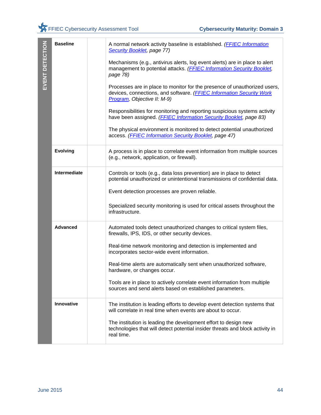| EVENT DETECTION  | <b>Baseline</b> | A normal network activity baseline is established. (FFIEC Information<br>Security Booklet, page 77)                                                                              |
|------------------|-----------------|----------------------------------------------------------------------------------------------------------------------------------------------------------------------------------|
|                  |                 | Mechanisms (e.g., antivirus alerts, log event alerts) are in place to alert<br>management to potential attacks. (FFIEC Information Security Booklet,<br>page 78)                 |
|                  |                 | Processes are in place to monitor for the presence of unauthorized users,<br>devices, connections, and software. (FFIEC Information Security Work<br>Program, Objective II: M-9) |
|                  |                 | Responsibilities for monitoring and reporting suspicious systems activity<br>have been assigned. (FFIEC Information Security Booklet, page 83)                                   |
|                  |                 | The physical environment is monitored to detect potential unauthorized<br>access. (FFIEC Information Security Booklet, page 47)                                                  |
|                  | <b>Evolving</b> | A process is in place to correlate event information from multiple sources<br>(e.g., network, application, or firewall).                                                         |
|                  | Intermediate    | Controls or tools (e.g., data loss prevention) are in place to detect<br>potential unauthorized or unintentional transmissions of confidential data.                             |
|                  |                 | Event detection processes are proven reliable.                                                                                                                                   |
|                  |                 | Specialized security monitoring is used for critical assets throughout the<br>infrastructure.                                                                                    |
|                  | <b>Advanced</b> | Automated tools detect unauthorized changes to critical system files,<br>firewalls, IPS, IDS, or other security devices.                                                         |
|                  |                 | Real-time network monitoring and detection is implemented and<br>incorporates sector-wide event information.                                                                     |
|                  |                 | Real-time alerts are automatically sent when unauthorized software,<br>hardware, or changes occur.                                                                               |
|                  |                 | Tools are in place to actively correlate event information from multiple<br>sources and send alerts based on established parameters.                                             |
|                  | Innovative      | The institution is leading efforts to develop event detection systems that<br>will correlate in real time when events are about to occur.                                        |
|                  |                 | The institution is leading the development effort to design new<br>technologies that will detect potential insider threats and block activity in<br>real time.                   |
|                  |                 |                                                                                                                                                                                  |
|                  |                 |                                                                                                                                                                                  |
|                  |                 |                                                                                                                                                                                  |
| <b>June 2015</b> |                 | 44                                                                                                                                                                               |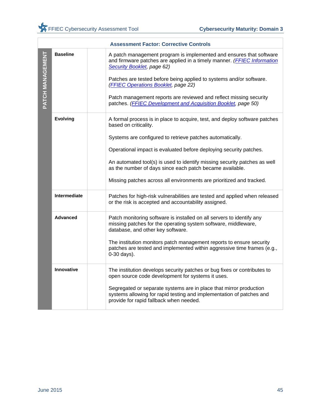|                  |                 | <b>Assessment Factor: Corrective Controls</b>                                                                                                                                                                                                                                              |
|------------------|-----------------|--------------------------------------------------------------------------------------------------------------------------------------------------------------------------------------------------------------------------------------------------------------------------------------------|
| PATCH MANAGEMENT | <b>Baseline</b> | A patch management program is implemented and ensures that software<br>and firmware patches are applied in a timely manner. (FFIEC Information<br>Security Booklet, page 62)<br>Patches are tested before being applied to systems and/or software.<br>(FFIEC Operations Booklet, page 22) |
|                  |                 | Patch management reports are reviewed and reflect missing security<br>patches. (FFIEC Development and Acquisition Booklet, page 50)                                                                                                                                                        |
|                  | <b>Evolving</b> | A formal process is in place to acquire, test, and deploy software patches<br>based on criticality.                                                                                                                                                                                        |
|                  |                 | Systems are configured to retrieve patches automatically.                                                                                                                                                                                                                                  |
|                  |                 | Operational impact is evaluated before deploying security patches.                                                                                                                                                                                                                         |
|                  |                 | An automated tool(s) is used to identify missing security patches as well<br>as the number of days since each patch became available.                                                                                                                                                      |
|                  |                 | Missing patches across all environments are prioritized and tracked.                                                                                                                                                                                                                       |
|                  | Intermediate    | Patches for high-risk vulnerabilities are tested and applied when released<br>or the risk is accepted and accountability assigned.                                                                                                                                                         |
|                  | <b>Advanced</b> | Patch monitoring software is installed on all servers to identify any<br>missing patches for the operating system software, middleware,<br>database, and other key software.                                                                                                               |
|                  |                 | The institution monitors patch management reports to ensure security<br>patches are tested and implemented within aggressive time frames (e.g.,<br>0-30 days).                                                                                                                             |
|                  | Innovative      | The institution develops security patches or bug fixes or contributes to<br>open source code development for systems it uses.                                                                                                                                                              |
|                  |                 | Segregated or separate systems are in place that mirror production<br>systems allowing for rapid testing and implementation of patches and<br>provide for rapid fallback when needed.                                                                                                      |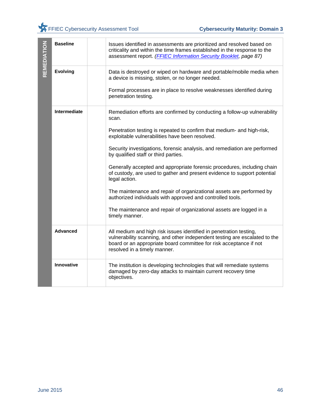| REMEDIATION      | <b>Baseline</b> | Issues identified in assessments are prioritized and resolved based on<br>criticality and within the time frames established in the response to the<br>assessment report. (FFIEC Information Security Booklet, page 87)                                |    |
|------------------|-----------------|--------------------------------------------------------------------------------------------------------------------------------------------------------------------------------------------------------------------------------------------------------|----|
|                  | <b>Evolving</b> | Data is destroyed or wiped on hardware and portable/mobile media when<br>a device is missing, stolen, or no longer needed.                                                                                                                             |    |
|                  |                 | Formal processes are in place to resolve weaknesses identified during<br>penetration testing.                                                                                                                                                          |    |
|                  | Intermediate    | Remediation efforts are confirmed by conducting a follow-up vulnerability<br>scan.                                                                                                                                                                     |    |
|                  |                 | Penetration testing is repeated to confirm that medium- and high-risk,<br>exploitable vulnerabilities have been resolved.                                                                                                                              |    |
|                  |                 | Security investigations, forensic analysis, and remediation are performed<br>by qualified staff or third parties.                                                                                                                                      |    |
|                  |                 | Generally accepted and appropriate forensic procedures, including chain<br>of custody, are used to gather and present evidence to support potential<br>legal action.                                                                                   |    |
|                  |                 | The maintenance and repair of organizational assets are performed by<br>authorized individuals with approved and controlled tools.                                                                                                                     |    |
|                  |                 | The maintenance and repair of organizational assets are logged in a<br>timely manner.                                                                                                                                                                  |    |
|                  | <b>Advanced</b> | All medium and high risk issues identified in penetration testing,<br>vulnerability scanning, and other independent testing are escalated to the<br>board or an appropriate board committee for risk acceptance if not<br>resolved in a timely manner. |    |
|                  | Innovative      | The institution is developing technologies that will remediate systems<br>damaged by zero-day attacks to maintain current recovery time<br>objectives.                                                                                                 |    |
|                  |                 |                                                                                                                                                                                                                                                        |    |
| <b>June 2015</b> |                 |                                                                                                                                                                                                                                                        | 46 |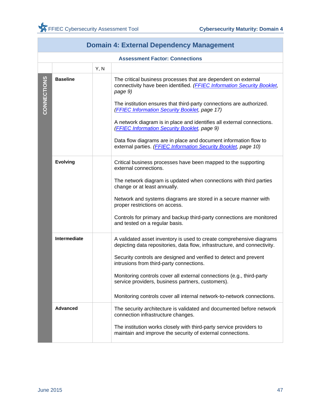| Domain 4: External Dependency Management |                                       |      |                                                                                                                                                                                                                                                                                                                                                                                                                                                                                                                                                |  |  |
|------------------------------------------|---------------------------------------|------|------------------------------------------------------------------------------------------------------------------------------------------------------------------------------------------------------------------------------------------------------------------------------------------------------------------------------------------------------------------------------------------------------------------------------------------------------------------------------------------------------------------------------------------------|--|--|
|                                          | <b>Assessment Factor: Connections</b> |      |                                                                                                                                                                                                                                                                                                                                                                                                                                                                                                                                                |  |  |
|                                          |                                       | Y, N |                                                                                                                                                                                                                                                                                                                                                                                                                                                                                                                                                |  |  |
| CONNECTIONS                              | <b>Baseline</b>                       |      | The critical business processes that are dependent on external<br>connectivity have been identified. (FFIEC Information Security Booklet,<br>page 9)<br>The institution ensures that third-party connections are authorized.<br>(FFIEC Information Security Booklet, page 17)<br>A network diagram is in place and identifies all external connections.<br>(FFIEC Information Security Booklet, page 9)<br>Data flow diagrams are in place and document information flow to<br>external parties. (FFIEC Information Security Booklet, page 10) |  |  |
|                                          | <b>Evolving</b>                       |      | Critical business processes have been mapped to the supporting<br>external connections.<br>The network diagram is updated when connections with third parties<br>change or at least annually.<br>Network and systems diagrams are stored in a secure manner with<br>proper restrictions on access.<br>Controls for primary and backup third-party connections are monitored<br>and tested on a regular basis.                                                                                                                                  |  |  |
|                                          | Intermediate                          |      | A validated asset inventory is used to create comprehensive diagrams<br>depicting data repositories, data flow, infrastructure, and connectivity.<br>Security controls are designed and verified to detect and prevent<br>intrusions from third-party connections.<br>Monitoring controls cover all external connections (e.g., third-party<br>service providers, business partners, customers).<br>Monitoring controls cover all internal network-to-network connections.                                                                     |  |  |
|                                          | <b>Advanced</b>                       |      | The security architecture is validated and documented before network<br>connection infrastructure changes.<br>The institution works closely with third-party service providers to<br>maintain and improve the security of external connections.                                                                                                                                                                                                                                                                                                |  |  |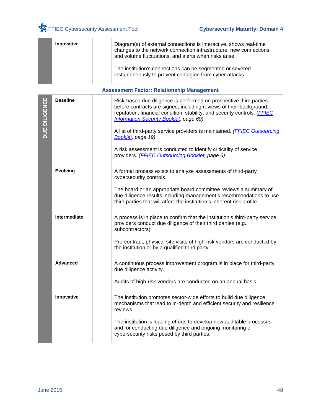|               | Innovative      | Diagram(s) of external connections is interactive, shows real-time<br>changes to the network connection infrastructure, new connections,<br>and volume fluctuations, and alerts when risks arise.<br>The institution's connections can be segmented or severed<br>instantaneously to prevent contagion from cyber attacks. |
|---------------|-----------------|----------------------------------------------------------------------------------------------------------------------------------------------------------------------------------------------------------------------------------------------------------------------------------------------------------------------------|
|               |                 | <b>Assessment Factor: Relationship Management</b>                                                                                                                                                                                                                                                                          |
| DUE DILIGENCE | <b>Baseline</b> | Risk-based due diligence is performed on prospective third parties<br>before contracts are signed, including reviews of their background,<br>reputation, financial condition, stability, and security controls. (FFIEC<br><b>Information Security Booklet, page 69)</b>                                                    |
|               |                 | A list of third-party service providers is maintained. ( <b>FFIEC Outsourcing</b><br>Booklet, page 19)                                                                                                                                                                                                                     |
|               |                 | A risk assessment is conducted to identify criticality of service<br>providers. (FFIEC Outsourcing Booklet, page 6)                                                                                                                                                                                                        |
|               | <b>Evolving</b> | A formal process exists to analyze assessments of third-party<br>cybersecurity controls.                                                                                                                                                                                                                                   |
|               |                 | The board or an appropriate board committee reviews a summary of<br>due diligence results including management's recommendations to use<br>third parties that will affect the institution's inherent risk profile.                                                                                                         |
|               | Intermediate    | A process is in place to confirm that the institution's third-party service<br>providers conduct due diligence of their third parties (e.g.,<br>subcontractors).                                                                                                                                                           |
|               |                 | Pre-contract, physical site visits of high-risk vendors are conducted by<br>the institution or by a qualified third party.                                                                                                                                                                                                 |
|               | <b>Advanced</b> | A continuous process improvement program is in place for third-party<br>due diligence activity.                                                                                                                                                                                                                            |
|               |                 | Audits of high-risk vendors are conducted on an annual basis.                                                                                                                                                                                                                                                              |
|               | Innovative      | The institution promotes sector-wide efforts to build due diligence<br>mechanisms that lead to in-depth and efficient security and resilience<br>reviews.                                                                                                                                                                  |
|               |                 | The institution is leading efforts to develop new auditable processes<br>and for conducting due diligence and ongoing monitoring of<br>cybersecurity risks posed by third parties.                                                                                                                                         |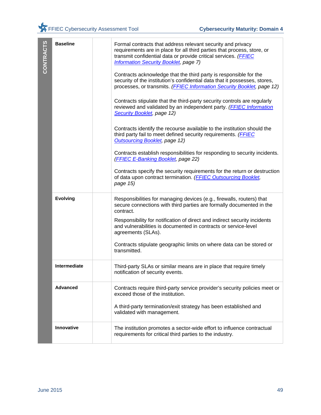| CONTRACTS        | <b>Baseline</b> | Formal contracts that address relevant security and privacy<br>requirements are in place for all third parties that process, store, or<br>transmit confidential data or provide critical services. (FFIEC<br><b>Information Security Booklet, page 7)</b> |
|------------------|-----------------|-----------------------------------------------------------------------------------------------------------------------------------------------------------------------------------------------------------------------------------------------------------|
|                  |                 | Contracts acknowledge that the third party is responsible for the<br>security of the institution's confidential data that it possesses, stores,<br>processes, or transmits. (FFIEC Information Security Booklet, page 12)                                 |
|                  |                 | Contracts stipulate that the third-party security controls are regularly<br>reviewed and validated by an independent party. (FFIEC Information<br>Security Booklet, page 12)                                                                              |
|                  |                 | Contracts identify the recourse available to the institution should the<br>third party fail to meet defined security requirements. (FFIEC<br><b>Outsourcing Booklet, page 12)</b>                                                                         |
|                  |                 | Contracts establish responsibilities for responding to security incidents.<br>(FFIEC E-Banking Booklet, page 22)                                                                                                                                          |
|                  |                 | Contracts specify the security requirements for the return or destruction<br>of data upon contract termination. (FFIEC Outsourcing Booklet,<br>page 15)                                                                                                   |
|                  | <b>Evolving</b> | Responsibilities for managing devices (e.g., firewalls, routers) that<br>secure connections with third parties are formally documented in the<br>contract.                                                                                                |
|                  |                 | Responsibility for notification of direct and indirect security incidents<br>and vulnerabilities is documented in contracts or service-level<br>agreements (SLAs).                                                                                        |
|                  |                 | Contracts stipulate geographic limits on where data can be stored or<br>transmitted.                                                                                                                                                                      |
|                  | Intermediate    | Third-party SLAs or similar means are in place that require timely<br>notification of security events.                                                                                                                                                    |
|                  | <b>Advanced</b> | Contracts require third-party service provider's security policies meet or<br>exceed those of the institution.                                                                                                                                            |
|                  |                 | A third-party termination/exit strategy has been established and<br>validated with management.                                                                                                                                                            |
|                  | Innovative      | The institution promotes a sector-wide effort to influence contractual<br>requirements for critical third parties to the industry.                                                                                                                        |
|                  |                 |                                                                                                                                                                                                                                                           |
| <b>June 2015</b> |                 | 49                                                                                                                                                                                                                                                        |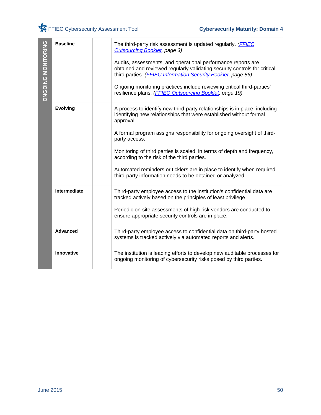| <b>ONGOING MONITORING</b> | <b>Baseline</b> | The third-party risk assessment is updated regularly. (FFIEC<br><b>Outsourcing Booklet, page 3)</b><br>Audits, assessments, and operational performance reports are<br>obtained and reviewed regularly validating security controls for critical<br>third parties. (FFIEC Information Security Booklet, page 86)<br>Ongoing monitoring practices include reviewing critical third-parties'<br>resilience plans. (FFIEC Outsourcing Booklet, page 19) |
|---------------------------|-----------------|------------------------------------------------------------------------------------------------------------------------------------------------------------------------------------------------------------------------------------------------------------------------------------------------------------------------------------------------------------------------------------------------------------------------------------------------------|
|                           | <b>Evolving</b> | A process to identify new third-party relationships is in place, including<br>identifying new relationships that were established without formal<br>approval.                                                                                                                                                                                                                                                                                        |
|                           |                 | A formal program assigns responsibility for ongoing oversight of third-<br>party access.                                                                                                                                                                                                                                                                                                                                                             |
|                           |                 | Monitoring of third parties is scaled, in terms of depth and frequency,<br>according to the risk of the third parties.                                                                                                                                                                                                                                                                                                                               |
|                           |                 | Automated reminders or ticklers are in place to identify when required<br>third-party information needs to be obtained or analyzed.                                                                                                                                                                                                                                                                                                                  |
|                           | Intermediate    | Third-party employee access to the institution's confidential data are<br>tracked actively based on the principles of least privilege.                                                                                                                                                                                                                                                                                                               |
|                           |                 | Periodic on-site assessments of high-risk vendors are conducted to<br>ensure appropriate security controls are in place.                                                                                                                                                                                                                                                                                                                             |
|                           | <b>Advanced</b> | Third-party employee access to confidential data on third-party hosted<br>systems is tracked actively via automated reports and alerts.                                                                                                                                                                                                                                                                                                              |
|                           | Innovative      | The institution is leading efforts to develop new auditable processes for<br>ongoing monitoring of cybersecurity risks posed by third parties.                                                                                                                                                                                                                                                                                                       |
|                           |                 |                                                                                                                                                                                                                                                                                                                                                                                                                                                      |
| <b>June 2015</b>          |                 | 50                                                                                                                                                                                                                                                                                                                                                                                                                                                   |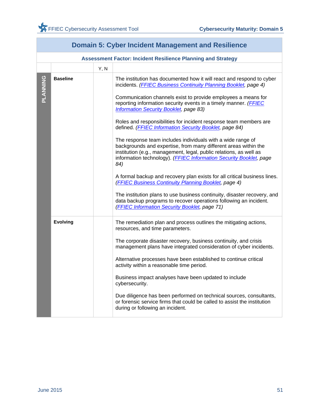| <u>oyuci moluchi management ana itoomol</u> |                 |      |                                                                                                                                                                                                                                                                                                                                                                                                                                                                                                                                                                                                                                                                                                                                                                                                                                                                                                                                                                                                                                                                                           |
|---------------------------------------------|-----------------|------|-------------------------------------------------------------------------------------------------------------------------------------------------------------------------------------------------------------------------------------------------------------------------------------------------------------------------------------------------------------------------------------------------------------------------------------------------------------------------------------------------------------------------------------------------------------------------------------------------------------------------------------------------------------------------------------------------------------------------------------------------------------------------------------------------------------------------------------------------------------------------------------------------------------------------------------------------------------------------------------------------------------------------------------------------------------------------------------------|
|                                             |                 |      | <b>Assessment Factor: Incident Resilience Planning and Strategy</b>                                                                                                                                                                                                                                                                                                                                                                                                                                                                                                                                                                                                                                                                                                                                                                                                                                                                                                                                                                                                                       |
|                                             |                 | Y, N |                                                                                                                                                                                                                                                                                                                                                                                                                                                                                                                                                                                                                                                                                                                                                                                                                                                                                                                                                                                                                                                                                           |
| PLANNING                                    | <b>Baseline</b> |      | The institution has documented how it will react and respond to cyber<br>incidents. (FFIEC Business Continuity Planning Booklet, page 4)<br>Communication channels exist to provide employees a means for<br>reporting information security events in a timely manner. (FFIEC<br><b>Information Security Booklet, page 83)</b><br>Roles and responsibilities for incident response team members are<br>defined. (FFIEC Information Security Booklet, page 84)<br>The response team includes individuals with a wide range of<br>backgrounds and expertise, from many different areas within the<br>institution (e.g., management, legal, public relations, as well as<br>information technology). (FFIEC Information Security Booklet, page<br>84)<br>A formal backup and recovery plan exists for all critical business lines.<br>(FFIEC Business Continuity Planning Booklet, page 4)<br>The institution plans to use business continuity, disaster recovery, and<br>data backup programs to recover operations following an incident.<br>(FFIEC Information Security Booklet, page 71) |
|                                             | <b>Evolving</b> |      | The remediation plan and process outlines the mitigating actions,<br>resources, and time parameters.<br>The corporate disaster recovery, business continuity, and crisis<br>management plans have integrated consideration of cyber incidents.<br>Alternative processes have been established to continue critical<br>activity within a reasonable time period.<br>Business impact analyses have been updated to include<br>cybersecurity.<br>Due diligence has been performed on technical sources, consultants,<br>or forensic service firms that could be called to assist the institution<br>during or following an incident.                                                                                                                                                                                                                                                                                                                                                                                                                                                         |

## **Domain 5: Cyber Incident Management and Resilience**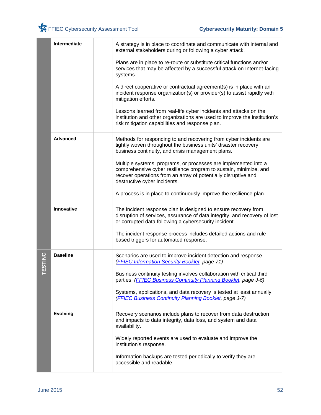|        | <b>Intermediate</b> | A strategy is in place to coordinate and communicate with internal and<br>external stakeholders during or following a cyber attack.                                                                                                   |
|--------|---------------------|---------------------------------------------------------------------------------------------------------------------------------------------------------------------------------------------------------------------------------------|
|        |                     | Plans are in place to re-route or substitute critical functions and/or<br>services that may be affected by a successful attack on Internet-facing<br>systems.                                                                         |
|        |                     | A direct cooperative or contractual agreement(s) is in place with an<br>incident response organization(s) or provider(s) to assist rapidly with<br>mitigation efforts.                                                                |
|        |                     | Lessons learned from real-life cyber incidents and attacks on the<br>institution and other organizations are used to improve the institution's<br>risk mitigation capabilities and response plan.                                     |
|        | <b>Advanced</b>     | Methods for responding to and recovering from cyber incidents are<br>tightly woven throughout the business units' disaster recovery,<br>business continuity, and crisis management plans.                                             |
|        |                     | Multiple systems, programs, or processes are implemented into a<br>comprehensive cyber resilience program to sustain, minimize, and<br>recover operations from an array of potentially disruptive and<br>destructive cyber incidents. |
|        |                     | A process is in place to continuously improve the resilience plan.                                                                                                                                                                    |
|        | Innovative          | The incident response plan is designed to ensure recovery from<br>disruption of services, assurance of data integrity, and recovery of lost<br>or corrupted data following a cybersecurity incident.                                  |
|        |                     | The incident response process includes detailed actions and rule-<br>based triggers for automated response.                                                                                                                           |
| ESTING | <b>Baseline</b>     | Scenarios are used to improve incident detection and response.<br>(FFIEC Information Security Booklet, page 71)                                                                                                                       |
|        |                     | Business continuity testing involves collaboration with critical third<br>parties. (FFIEC Business Continuity Planning Booklet, page J-6)                                                                                             |
|        |                     | Systems, applications, and data recovery is tested at least annually.<br>(FFIEC Business Continuity Planning Booklet, page J-7)                                                                                                       |
|        | <b>Evolving</b>     | Recovery scenarios include plans to recover from data destruction<br>and impacts to data integrity, data loss, and system and data<br>availability.                                                                                   |
|        |                     | Widely reported events are used to evaluate and improve the<br>institution's response.                                                                                                                                                |
|        |                     | Information backups are tested periodically to verify they are<br>accessible and readable.                                                                                                                                            |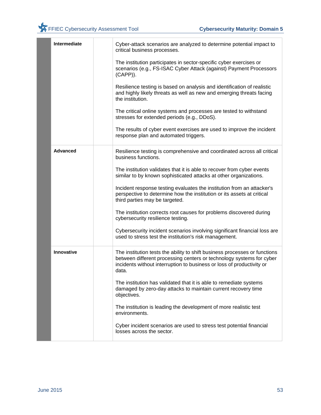| Intermediate    | Cyber-attack scenarios are analyzed to determine potential impact to<br>critical business processes.                                                                                                                                 |
|-----------------|--------------------------------------------------------------------------------------------------------------------------------------------------------------------------------------------------------------------------------------|
|                 | The institution participates in sector-specific cyber exercises or<br>scenarios (e.g., FS-ISAC Cyber Attack (against) Payment Processors<br>$(CAPP)$ ).                                                                              |
|                 | Resilience testing is based on analysis and identification of realistic<br>and highly likely threats as well as new and emerging threats facing<br>the institution.                                                                  |
|                 | The critical online systems and processes are tested to withstand<br>stresses for extended periods (e.g., DDoS).                                                                                                                     |
|                 | The results of cyber event exercises are used to improve the incident<br>response plan and automated triggers.                                                                                                                       |
| <b>Advanced</b> | Resilience testing is comprehensive and coordinated across all critical<br>business functions.                                                                                                                                       |
|                 | The institution validates that it is able to recover from cyber events<br>similar to by known sophisticated attacks at other organizations.                                                                                          |
|                 | Incident response testing evaluates the institution from an attacker's<br>perspective to determine how the institution or its assets at critical<br>third parties may be targeted.                                                   |
|                 | The institution corrects root causes for problems discovered during<br>cybersecurity resilience testing.                                                                                                                             |
|                 | Cybersecurity incident scenarios involving significant financial loss are<br>used to stress test the institution's risk management.                                                                                                  |
| Innovative      | The institution tests the ability to shift business processes or functions<br>between different processing centers or technology systems for cyber<br>incidents without interruption to business or loss of productivity or<br>data. |
|                 | The institution has validated that it is able to remediate systems<br>damaged by zero-day attacks to maintain current recovery time<br>objectives.                                                                                   |
|                 | The institution is leading the development of more realistic test<br>environments.                                                                                                                                                   |
|                 | Cyber incident scenarios are used to stress test potential financial<br>losses across the sector.                                                                                                                                    |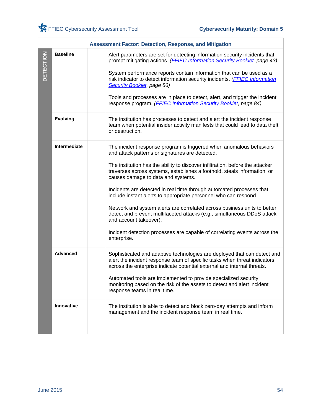|                  |                 | <b>Assessment Factor: Detection, Response, and Mitigation</b>                                                                                                                                                                                                                                                                                                                                                                                                                                                                                                                                                                                                                                                                                      |
|------------------|-----------------|----------------------------------------------------------------------------------------------------------------------------------------------------------------------------------------------------------------------------------------------------------------------------------------------------------------------------------------------------------------------------------------------------------------------------------------------------------------------------------------------------------------------------------------------------------------------------------------------------------------------------------------------------------------------------------------------------------------------------------------------------|
| <b>DETECTION</b> | <b>Baseline</b> | Alert parameters are set for detecting information security incidents that<br>prompt mitigating actions. (FFIEC Information Security Booklet, page 43)<br>System performance reports contain information that can be used as a<br>risk indicator to detect information security incidents. (FFIEC Information<br>Security Booklet, page 86)<br>Tools and processes are in place to detect, alert, and trigger the incident<br>response program. (FFIEC Information Security Booklet, page 84)                                                                                                                                                                                                                                                      |
|                  | <b>Evolving</b> | The institution has processes to detect and alert the incident response<br>team when potential insider activity manifests that could lead to data theft<br>or destruction.                                                                                                                                                                                                                                                                                                                                                                                                                                                                                                                                                                         |
|                  | Intermediate    | The incident response program is triggered when anomalous behaviors<br>and attack patterns or signatures are detected.<br>The institution has the ability to discover infiltration, before the attacker<br>traverses across systems, establishes a foothold, steals information, or<br>causes damage to data and systems.<br>Incidents are detected in real time through automated processes that<br>include instant alerts to appropriate personnel who can respond.<br>Network and system alerts are correlated across business units to better<br>detect and prevent multifaceted attacks (e.g., simultaneous DDoS attack<br>and account takeover).<br>Incident detection processes are capable of correlating events across the<br>enterprise. |
|                  | <b>Advanced</b> | Sophisticated and adaptive technologies are deployed that can detect and<br>alert the incident response team of specific tasks when threat indicators<br>across the enterprise indicate potential external and internal threats.<br>Automated tools are implemented to provide specialized security<br>monitoring based on the risk of the assets to detect and alert incident<br>response teams in real time.                                                                                                                                                                                                                                                                                                                                     |
|                  | Innovative      | The institution is able to detect and block zero-day attempts and inform<br>management and the incident response team in real time.                                                                                                                                                                                                                                                                                                                                                                                                                                                                                                                                                                                                                |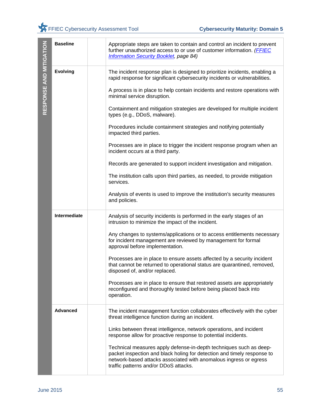| RESPONSE AND MITIGATION | <b>Baseline</b> | Appropriate steps are taken to contain and control an incident to prevent<br>further unauthorized access to or use of customer information. (FFIEC<br><b>Information Security Booklet, page 84)</b>                                                         |
|-------------------------|-----------------|-------------------------------------------------------------------------------------------------------------------------------------------------------------------------------------------------------------------------------------------------------------|
|                         | <b>Evolving</b> | The incident response plan is designed to prioritize incidents, enabling a<br>rapid response for significant cybersecurity incidents or vulnerabilities.                                                                                                    |
|                         |                 | A process is in place to help contain incidents and restore operations with<br>minimal service disruption.                                                                                                                                                  |
|                         |                 | Containment and mitigation strategies are developed for multiple incident<br>types (e.g., DDoS, malware).                                                                                                                                                   |
|                         |                 | Procedures include containment strategies and notifying potentially<br>impacted third parties.                                                                                                                                                              |
|                         |                 | Processes are in place to trigger the incident response program when an<br>incident occurs at a third party.                                                                                                                                                |
|                         |                 | Records are generated to support incident investigation and mitigation.                                                                                                                                                                                     |
|                         |                 | The institution calls upon third parties, as needed, to provide mitigation<br>services.                                                                                                                                                                     |
|                         |                 | Analysis of events is used to improve the institution's security measures<br>and policies.                                                                                                                                                                  |
|                         | Intermediate    | Analysis of security incidents is performed in the early stages of an<br>intrusion to minimize the impact of the incident.                                                                                                                                  |
|                         |                 | Any changes to systems/applications or to access entitlements necessary<br>for incident management are reviewed by management for formal<br>approval before implementation.                                                                                 |
|                         |                 | Processes are in place to ensure assets affected by a security incident<br>that cannot be returned to operational status are quarantined, removed,<br>disposed of, and/or replaced.                                                                         |
|                         |                 | Processes are in place to ensure that restored assets are appropriately<br>reconfigured and thoroughly tested before being placed back into<br>operation.                                                                                                   |
|                         | Advanced        | The incident management function collaborates effectively with the cyber<br>threat intelligence function during an incident.                                                                                                                                |
|                         |                 | Links between threat intelligence, network operations, and incident<br>response allow for proactive response to potential incidents.                                                                                                                        |
|                         |                 | Technical measures apply defense-in-depth techniques such as deep-<br>packet inspection and black holing for detection and timely response to<br>network-based attacks associated with anomalous ingress or egress<br>traffic patterns and/or DDoS attacks. |
|                         |                 |                                                                                                                                                                                                                                                             |
| <b>June 2015</b>        |                 | 55                                                                                                                                                                                                                                                          |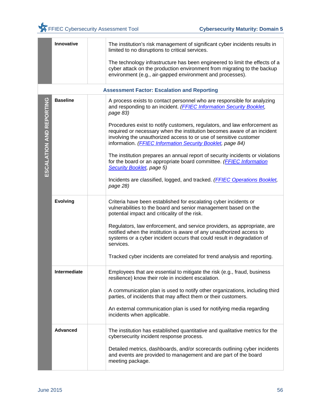|                          | Innovative          | The institution's risk management of significant cyber incidents results in<br>limited to no disruptions to critical services.                                                                                                                                                                  |
|--------------------------|---------------------|-------------------------------------------------------------------------------------------------------------------------------------------------------------------------------------------------------------------------------------------------------------------------------------------------|
|                          |                     | The technology infrastructure has been engineered to limit the effects of a<br>cyber attack on the production environment from migrating to the backup<br>environment (e.g., air-gapped environment and processes).                                                                             |
|                          |                     | <b>Assessment Factor: Escalation and Reporting</b>                                                                                                                                                                                                                                              |
| ESCALATION AND REPORTING | <b>Baseline</b>     | A process exists to contact personnel who are responsible for analyzing<br>and responding to an incident. (FFIEC Information Security Booklet,<br>page 83)                                                                                                                                      |
|                          |                     | Procedures exist to notify customers, regulators, and law enforcement as<br>required or necessary when the institution becomes aware of an incident<br>involving the unauthorized access to or use of sensitive customer<br>information. ( <b>FFIEC Information Security Booklet</b> , page 84) |
|                          |                     | The institution prepares an annual report of security incidents or violations<br>for the board or an appropriate board committee. (FFIEC Information<br>Security Booklet, page 5)                                                                                                               |
|                          |                     | Incidents are classified, logged, and tracked. (FFIEC Operations Booklet,<br>page 28)                                                                                                                                                                                                           |
|                          | <b>Evolving</b>     | Criteria have been established for escalating cyber incidents or<br>vulnerabilities to the board and senior management based on the<br>potential impact and criticality of the risk.                                                                                                            |
|                          |                     | Regulators, law enforcement, and service providers, as appropriate, are<br>notified when the institution is aware of any unauthorized access to<br>systems or a cyber incident occurs that could result in degradation of<br>services.                                                          |
|                          |                     | Tracked cyber incidents are correlated for trend analysis and reporting.                                                                                                                                                                                                                        |
|                          | <b>Intermediate</b> | Employees that are essential to mitigate the risk (e.g., fraud, business<br>resilience) know their role in incident escalation.                                                                                                                                                                 |
|                          |                     | A communication plan is used to notify other organizations, including third<br>parties, of incidents that may affect them or their customers.                                                                                                                                                   |
|                          |                     | An external communication plan is used for notifying media regarding<br>incidents when applicable.                                                                                                                                                                                              |
|                          | <b>Advanced</b>     | The institution has established quantitative and qualitative metrics for the<br>cybersecurity incident response process.                                                                                                                                                                        |
|                          |                     | Detailed metrics, dashboards, and/or scorecards outlining cyber incidents<br>and events are provided to management and are part of the board<br>meeting package.                                                                                                                                |